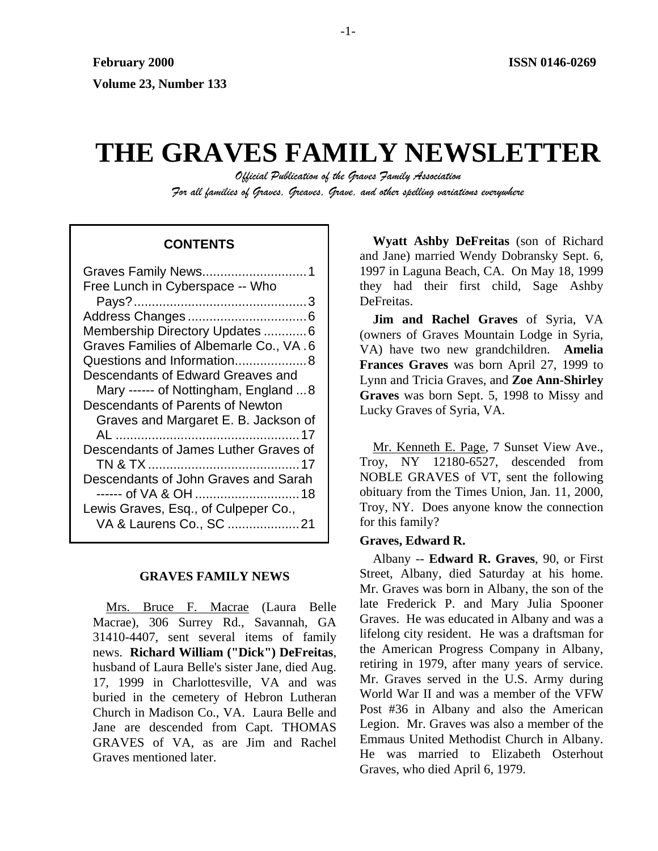# **THE GRAVES FAMILY NEWSLETTER**

*Official Publication of the Graves Family Association For all families of Graves, Greaves, Grave, and other spelling variations everywhere* 

# **CONTENTS**

| Free Lunch in Cyberspace -- Who        |
|----------------------------------------|
|                                        |
|                                        |
| Membership Directory Updates 6         |
| Graves Families of Albemarle Co., VA.6 |
| Questions and Information 8            |
| Descendants of Edward Greaves and      |
| Mary ------ of Nottingham, England 8   |
| Descendants of Parents of Newton       |
| Graves and Margaret E. B. Jackson of   |
|                                        |
| Descendants of James Luther Graves of  |
|                                        |
| Descendants of John Graves and Sarah   |
|                                        |
| Lewis Graves, Esq., of Culpeper Co.,   |
| VA & Laurens Co., SC 21                |
|                                        |

# **GRAVES FAMILY NEWS**

Mrs. Bruce F. Macrae (Laura Belle Macrae), 306 Surrey Rd., Savannah, GA 31410-4407, sent several items of family news. **Richard William ("Dick") DeFreitas**, husband of Laura Belle's sister Jane, died Aug. 17, 1999 in Charlottesville, VA and was buried in the cemetery of Hebron Lutheran Church in Madison Co., VA. Laura Belle and Jane are descended from Capt. THOMAS GRAVES of VA, as are Jim and Rachel Graves mentioned later.

**Wyatt Ashby DeFreitas** (son of Richard and Jane) married Wendy Dobransky Sept. 6, 1997 in Laguna Beach, CA. On May 18, 1999 they had their first child, Sage Ashby DeFreitas.

**Jim and Rachel Graves** of Syria, VA (owners of Graves Mountain Lodge in Syria, VA) have two new grandchildren. **Amelia Frances Graves** was born April 27, 1999 to Lynn and Tricia Graves, and **Zoe Ann-Shirley Graves** was born Sept. 5, 1998 to Missy and Lucky Graves of Syria, VA.

Mr. Kenneth E. Page, 7 Sunset View Ave., Troy, NY 12180-6527, descended from NOBLE GRAVES of VT, sent the following obituary from the Times Union, Jan. 11, 2000, Troy, NY. Does anyone know the connection for this family?

## **Graves, Edward R.**

Albany -- **Edward R. Graves**, 90, or First Street, Albany, died Saturday at his home. Mr. Graves was born in Albany, the son of the late Frederick P. and Mary Julia Spooner Graves. He was educated in Albany and was a lifelong city resident. He was a draftsman for the American Progress Company in Albany, retiring in 1979, after many years of service. Mr. Graves served in the U.S. Army during World War II and was a member of the VFW Post #36 in Albany and also the American Legion. Mr. Graves was also a member of the Emmaus United Methodist Church in Albany. He was married to Elizabeth Osterhout Graves, who died April 6, 1979.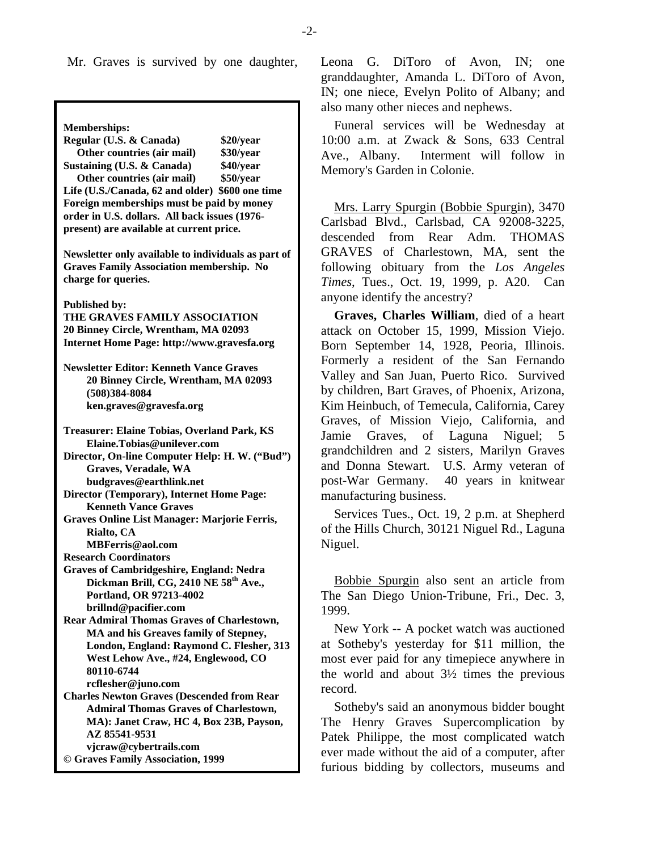**Memberships: Regular (U.S. & Canada) \$20/year Other countries (air mail) \$30/year Sustaining (U.S. & Canada) \$40/year Other countries (air mail) \$50/year Life (U.S./Canada, 62 and older) \$600 one time Foreign memberships must be paid by money order in U.S. dollars. All back issues (1976 present) are available at current price. Newsletter only available to individuals as part of Graves Family Association membership. No charge for queries. Published by: THE GRAVES FAMILY ASSOCIATION 20 Binney Circle, Wrentham, MA 02093 Internet Home Page: http://www.gravesfa.org Newsletter Editor: Kenneth Vance Graves 20 Binney Circle, Wrentham, MA 02093 (508)384-8084 ken.graves@gravesfa.org Treasurer: Elaine Tobias, Overland Park, KS Elaine.Tobias@unilever.com Director, On-line Computer Help: H. W. ("Bud") Graves, Veradale, WA budgraves@earthlink.net Director (Temporary), Internet Home Page: Kenneth Vance Graves Graves Online List Manager: Marjorie Ferris, Rialto, CA MBFerris@aol.com Research Coordinators Graves of Cambridgeshire, England: Nedra**  Dickman Brill, CG, 2410 NE 58<sup>th</sup> Ave., **Portland, OR 97213-4002 brillnd@pacifier.com Rear Admiral Thomas Graves of Charlestown, MA and his Greaves family of Stepney, London, England: Raymond C. Flesher, 313 West Lehow Ave., #24, Englewood, CO 80110-6744 rcflesher@juno.com Charles Newton Graves (Descended from Rear Admiral Thomas Graves of Charlestown, MA): Janet Craw, HC 4, Box 23B, Payson, AZ 85541-9531 vjcraw@cybertrails.com © Graves Family Association, 1999**

Mr. Graves is survived by one daughter, Leona G. DiToro of Avon, IN; one granddaughter, Amanda L. DiToro of Avon, IN; one niece, Evelyn Polito of Albany; and also many other nieces and nephews.

> Funeral services will be Wednesday at 10:00 a.m. at Zwack & Sons, 633 Central Ave., Albany. Interment will follow in Memory's Garden in Colonie.

> Mrs. Larry Spurgin (Bobbie Spurgin), 3470 Carlsbad Blvd., Carlsbad, CA 92008-3225, descended from Rear Adm. THOMAS GRAVES of Charlestown, MA, sent the following obituary from the *Los Angeles Times*, Tues., Oct. 19, 1999, p. A20. Can anyone identify the ancestry?

> **Graves, Charles William**, died of a heart attack on October 15, 1999, Mission Viejo. Born September 14, 1928, Peoria, Illinois. Formerly a resident of the San Fernando Valley and San Juan, Puerto Rico. Survived by children, Bart Graves, of Phoenix, Arizona, Kim Heinbuch, of Temecula, California, Carey Graves, of Mission Viejo, California, and Jamie Graves, of Laguna Niguel; 5 grandchildren and 2 sisters, Marilyn Graves and Donna Stewart. U.S. Army veteran of post-War Germany. 40 years in knitwear manufacturing business.

> Services Tues., Oct. 19, 2 p.m. at Shepherd of the Hills Church, 30121 Niguel Rd., Laguna Niguel.

> Bobbie Spurgin also sent an article from The San Diego Union-Tribune, Fri., Dec. 3, 1999.

> New York -- A pocket watch was auctioned at Sotheby's yesterday for \$11 million, the most ever paid for any timepiece anywhere in the world and about 3½ times the previous record.

> Sotheby's said an anonymous bidder bought The Henry Graves Supercomplication by Patek Philippe, the most complicated watch ever made without the aid of a computer, after furious bidding by collectors, museums and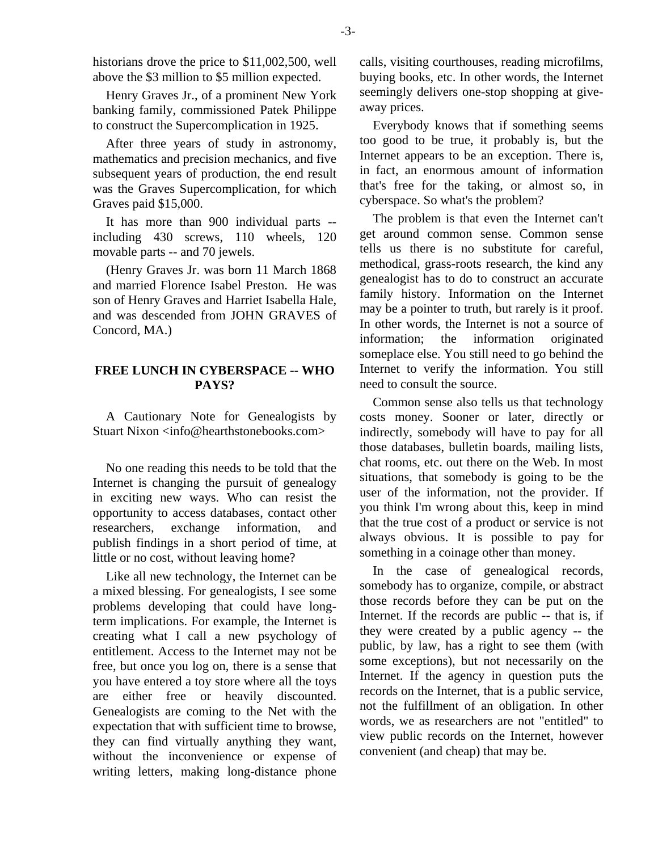historians drove the price to \$11,002,500, well above the \$3 million to \$5 million expected.

Henry Graves Jr., of a prominent New York banking family, commissioned Patek Philippe to construct the Supercomplication in 1925.

After three years of study in astronomy, mathematics and precision mechanics, and five subsequent years of production, the end result was the Graves Supercomplication, for which Graves paid \$15,000.

It has more than 900 individual parts - including 430 screws, 110 wheels, 120 movable parts -- and 70 jewels.

(Henry Graves Jr. was born 11 March 1868 and married Florence Isabel Preston. He was son of Henry Graves and Harriet Isabella Hale, and was descended from JOHN GRAVES of Concord, MA.)

## **FREE LUNCH IN CYBERSPACE -- WHO PAYS?**

A Cautionary Note for Genealogists by Stuart Nixon <info@hearthstonebooks.com>

No one reading this needs to be told that the Internet is changing the pursuit of genealogy in exciting new ways. Who can resist the opportunity to access databases, contact other researchers, exchange information, and publish findings in a short period of time, at little or no cost, without leaving home?

Like all new technology, the Internet can be a mixed blessing. For genealogists, I see some problems developing that could have longterm implications. For example, the Internet is creating what I call a new psychology of entitlement. Access to the Internet may not be free, but once you log on, there is a sense that you have entered a toy store where all the toys are either free or heavily discounted. Genealogists are coming to the Net with the expectation that with sufficient time to browse, they can find virtually anything they want, without the inconvenience or expense of writing letters, making long-distance phone

calls, visiting courthouses, reading microfilms, buying books, etc. In other words, the Internet seemingly delivers one-stop shopping at giveaway prices.

Everybody knows that if something seems too good to be true, it probably is, but the Internet appears to be an exception. There is, in fact, an enormous amount of information that's free for the taking, or almost so, in cyberspace. So what's the problem?

The problem is that even the Internet can't get around common sense. Common sense tells us there is no substitute for careful, methodical, grass-roots research, the kind any genealogist has to do to construct an accurate family history. Information on the Internet may be a pointer to truth, but rarely is it proof. In other words, the Internet is not a source of information; the information originated someplace else. You still need to go behind the Internet to verify the information. You still need to consult the source.

Common sense also tells us that technology costs money. Sooner or later, directly or indirectly, somebody will have to pay for all those databases, bulletin boards, mailing lists, chat rooms, etc. out there on the Web. In most situations, that somebody is going to be the user of the information, not the provider. If you think I'm wrong about this, keep in mind that the true cost of a product or service is not always obvious. It is possible to pay for something in a coinage other than money.

In the case of genealogical records, somebody has to organize, compile, or abstract those records before they can be put on the Internet. If the records are public -- that is, if they were created by a public agency -- the public, by law, has a right to see them (with some exceptions), but not necessarily on the Internet. If the agency in question puts the records on the Internet, that is a public service, not the fulfillment of an obligation. In other words, we as researchers are not "entitled" to view public records on the Internet, however convenient (and cheap) that may be.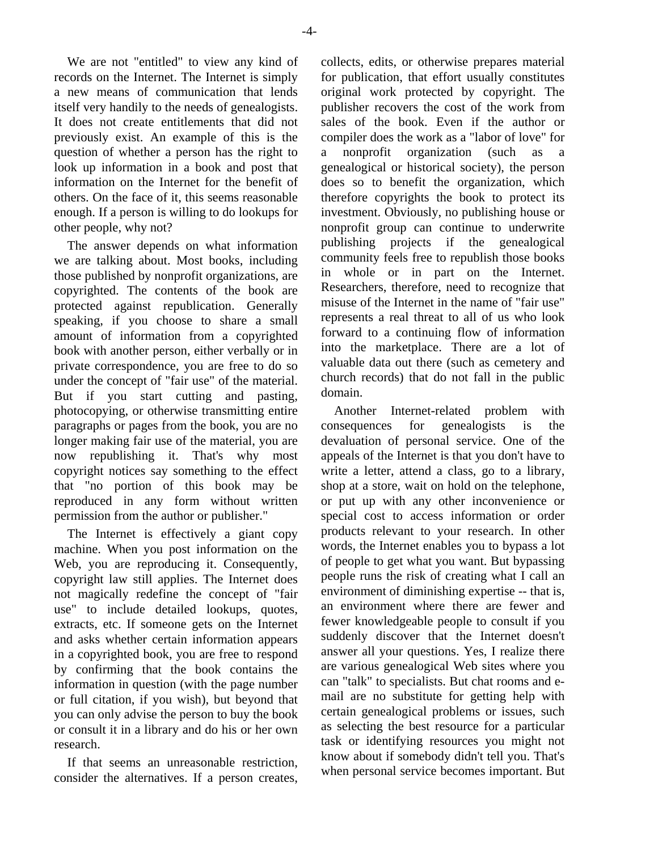We are not "entitled" to view any kind of records on the Internet. The Internet is simply a new means of communication that lends itself very handily to the needs of genealogists. It does not create entitlements that did not previously exist. An example of this is the question of whether a person has the right to look up information in a book and post that information on the Internet for the benefit of others. On the face of it, this seems reasonable enough. If a person is willing to do lookups for other people, why not?

The answer depends on what information we are talking about. Most books, including those published by nonprofit organizations, are copyrighted. The contents of the book are protected against republication. Generally speaking, if you choose to share a small amount of information from a copyrighted book with another person, either verbally or in private correspondence, you are free to do so under the concept of "fair use" of the material. But if you start cutting and pasting, photocopying, or otherwise transmitting entire paragraphs or pages from the book, you are no longer making fair use of the material, you are now republishing it. That's why most copyright notices say something to the effect that "no portion of this book may be reproduced in any form without written permission from the author or publisher."

The Internet is effectively a giant copy machine. When you post information on the Web, you are reproducing it. Consequently, copyright law still applies. The Internet does not magically redefine the concept of "fair use" to include detailed lookups, quotes, extracts, etc. If someone gets on the Internet and asks whether certain information appears in a copyrighted book, you are free to respond by confirming that the book contains the information in question (with the page number or full citation, if you wish), but beyond that you can only advise the person to buy the book or consult it in a library and do his or her own research.

If that seems an unreasonable restriction, consider the alternatives. If a person creates, collects, edits, or otherwise prepares material for publication, that effort usually constitutes original work protected by copyright. The publisher recovers the cost of the work from sales of the book. Even if the author or compiler does the work as a "labor of love" for a nonprofit organization (such as genealogical or historical society), the person does so to benefit the organization, which therefore copyrights the book to protect its investment. Obviously, no publishing house or nonprofit group can continue to underwrite publishing projects if the genealogical community feels free to republish those books in whole or in part on the Internet. Researchers, therefore, need to recognize that misuse of the Internet in the name of "fair use" represents a real threat to all of us who look forward to a continuing flow of information into the marketplace. There are a lot of valuable data out there (such as cemetery and church records) that do not fall in the public domain.

Another Internet-related problem with consequences for genealogists is the devaluation of personal service. One of the appeals of the Internet is that you don't have to write a letter, attend a class, go to a library, shop at a store, wait on hold on the telephone, or put up with any other inconvenience or special cost to access information or order products relevant to your research. In other words, the Internet enables you to bypass a lot of people to get what you want. But bypassing people runs the risk of creating what I call an environment of diminishing expertise -- that is, an environment where there are fewer and fewer knowledgeable people to consult if you suddenly discover that the Internet doesn't answer all your questions. Yes, I realize there are various genealogical Web sites where you can "talk" to specialists. But chat rooms and email are no substitute for getting help with certain genealogical problems or issues, such as selecting the best resource for a particular task or identifying resources you might not know about if somebody didn't tell you. That's when personal service becomes important. But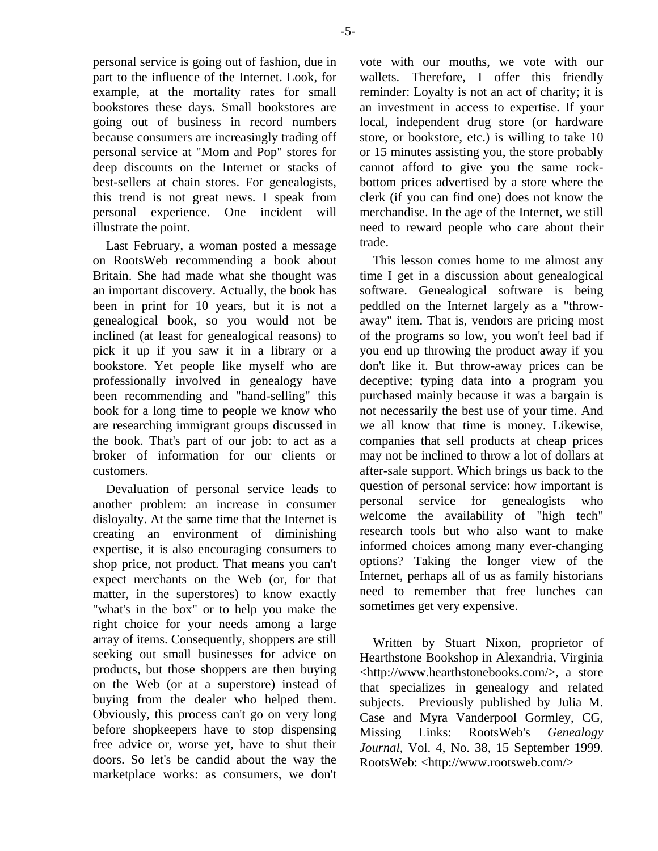personal service is going out of fashion, due in part to the influence of the Internet. Look, for example, at the mortality rates for small bookstores these days. Small bookstores are going out of business in record numbers because consumers are increasingly trading off personal service at "Mom and Pop" stores for deep discounts on the Internet or stacks of best-sellers at chain stores. For genealogists, this trend is not great news. I speak from personal experience. One incident will illustrate the point.

Last February, a woman posted a message on RootsWeb recommending a book about Britain. She had made what she thought was an important discovery. Actually, the book has been in print for 10 years, but it is not a genealogical book, so you would not be inclined (at least for genealogical reasons) to pick it up if you saw it in a library or a bookstore. Yet people like myself who are professionally involved in genealogy have been recommending and "hand-selling" this book for a long time to people we know who are researching immigrant groups discussed in the book. That's part of our job: to act as a broker of information for our clients or customers.

Devaluation of personal service leads to another problem: an increase in consumer disloyalty. At the same time that the Internet is creating an environment of diminishing expertise, it is also encouraging consumers to shop price, not product. That means you can't expect merchants on the Web (or, for that matter, in the superstores) to know exactly "what's in the box" or to help you make the right choice for your needs among a large array of items. Consequently, shoppers are still seeking out small businesses for advice on products, but those shoppers are then buying on the Web (or at a superstore) instead of buying from the dealer who helped them. Obviously, this process can't go on very long before shopkeepers have to stop dispensing free advice or, worse yet, have to shut their doors. So let's be candid about the way the marketplace works: as consumers, we don't vote with our mouths, we vote with our wallets. Therefore, I offer this friendly reminder: Loyalty is not an act of charity; it is an investment in access to expertise. If your local, independent drug store (or hardware store, or bookstore, etc.) is willing to take 10 or 15 minutes assisting you, the store probably cannot afford to give you the same rockbottom prices advertised by a store where the clerk (if you can find one) does not know the merchandise. In the age of the Internet, we still need to reward people who care about their trade.

This lesson comes home to me almost any time I get in a discussion about genealogical software. Genealogical software is being peddled on the Internet largely as a "throwaway" item. That is, vendors are pricing most of the programs so low, you won't feel bad if you end up throwing the product away if you don't like it. But throw-away prices can be deceptive; typing data into a program you purchased mainly because it was a bargain is not necessarily the best use of your time. And we all know that time is money. Likewise, companies that sell products at cheap prices may not be inclined to throw a lot of dollars at after-sale support. Which brings us back to the question of personal service: how important is personal service for genealogists who welcome the availability of "high tech" research tools but who also want to make informed choices among many ever-changing options? Taking the longer view of the Internet, perhaps all of us as family historians need to remember that free lunches can sometimes get very expensive.

Written by Stuart Nixon, proprietor of Hearthstone Bookshop in Alexandria, Virginia <http://www.hearthstonebooks.com/>, a store that specializes in genealogy and related subjects. Previously published by Julia M. Case and Myra Vanderpool Gormley, CG, Missing Links: RootsWeb's *Genealogy Journal*, Vol. 4, No. 38, 15 September 1999. RootsWeb: <http://www.rootsweb.com/>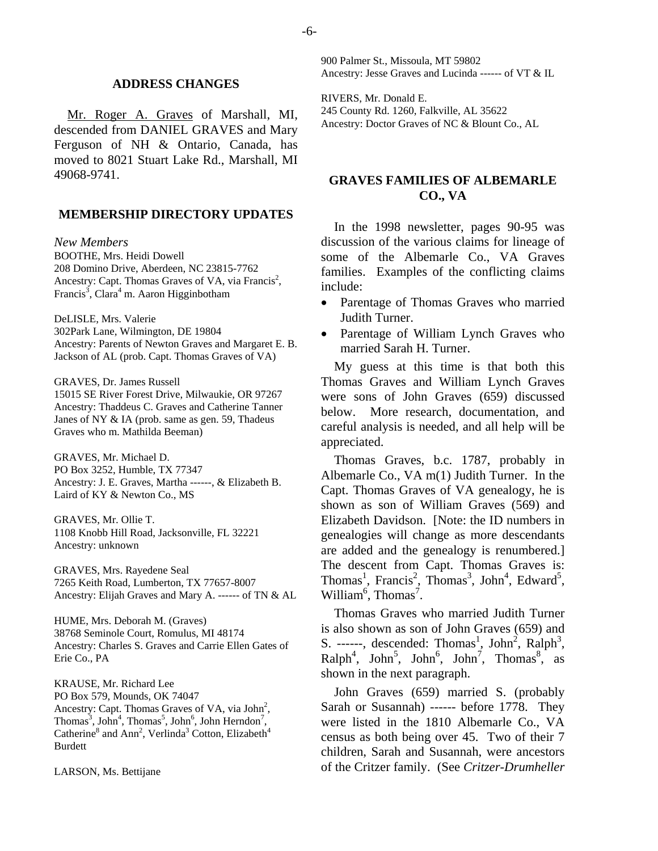#### **ADDRESS CHANGES**

Mr. Roger A. Graves of Marshall, MI, descended from DANIEL GRAVES and Mary Ferguson of NH & Ontario, Canada, has moved to 8021 Stuart Lake Rd., Marshall, MI 49068-9741.

#### **MEMBERSHIP DIRECTORY UPDATES**

*New Members* 

BOOTHE, Mrs. Heidi Dowell 208 Domino Drive, Aberdeen, NC 23815-7762 Ancestry: Capt. Thomas Graves of VA, via Francis<sup>2</sup>, Francis<sup>3</sup>, Clara<sup>4</sup> m. Aaron Higginbotham

DeLISLE, Mrs. Valerie

302Park Lane, Wilmington, DE 19804 Ancestry: Parents of Newton Graves and Margaret E. B. Jackson of AL (prob. Capt. Thomas Graves of VA)

GRAVES, Dr. James Russell

15015 SE River Forest Drive, Milwaukie, OR 97267 Ancestry: Thaddeus C. Graves and Catherine Tanner Janes of NY & IA (prob. same as gen. 59, Thadeus Graves who m. Mathilda Beeman)

GRAVES, Mr. Michael D. PO Box 3252, Humble, TX 77347 Ancestry: J. E. Graves, Martha ------, & Elizabeth B. Laird of KY & Newton Co., MS

GRAVES, Mr. Ollie T. 1108 Knobb Hill Road, Jacksonville, FL 32221 Ancestry: unknown

GRAVES, Mrs. Rayedene Seal 7265 Keith Road, Lumberton, TX 77657-8007 Ancestry: Elijah Graves and Mary A. ------ of TN & AL

HUME, Mrs. Deborah M. (Graves) 38768 Seminole Court, Romulus, MI 48174 Ancestry: Charles S. Graves and Carrie Ellen Gates of Erie Co., PA

KRAUSE, Mr. Richard Lee PO Box 579, Mounds, OK 74047 Ancestry: Capt. Thomas Graves of VA, via  $John<sup>2</sup>$ , Thomas<sup>3</sup>, John<sup>4</sup>, Thomas<sup>5</sup>, John<sup>6</sup>, John Herndon<sup>7</sup>, Catherine<sup>8</sup> and Ann<sup>2</sup>, Verlinda<sup>3</sup> Cotton, Elizabeth<sup>4</sup> Burdett

LARSON, Ms. Bettijane

900 Palmer St., Missoula, MT 59802 Ancestry: Jesse Graves and Lucinda ------ of VT & IL

RIVERS, Mr. Donald E. 245 County Rd. 1260, Falkville, AL 35622 Ancestry: Doctor Graves of NC & Blount Co., AL

## **GRAVES FAMILIES OF ALBEMARLE CO., VA**

In the 1998 newsletter, pages 90-95 was discussion of the various claims for lineage of some of the Albemarle Co., VA Graves families. Examples of the conflicting claims include:

- Parentage of Thomas Graves who married Judith Turner.
- Parentage of William Lynch Graves who married Sarah H. Turner.

My guess at this time is that both this Thomas Graves and William Lynch Graves were sons of John Graves (659) discussed below. More research, documentation, and careful analysis is needed, and all help will be appreciated.

Thomas Graves, b.c. 1787, probably in Albemarle Co., VA m(1) Judith Turner. In the Capt. Thomas Graves of VA genealogy, he is shown as son of William Graves (569) and Elizabeth Davidson. [Note: the ID numbers in genealogies will change as more descendants are added and the genealogy is renumbered.] The descent from Capt. Thomas Graves is: Thomas<sup>1</sup>, Francis<sup>2</sup>, Thomas<sup>3</sup>, John<sup>4</sup>, Edward<sup>5</sup>, William<sup>6</sup>, Thomas<sup>7</sup>.

Thomas Graves who married Judith Turner is also shown as son of John Graves (659) and S. ------, descended: Thomas<sup>1</sup>, John<sup>2</sup>, Ralph<sup>3</sup>,  $\text{Ralph}^4$ , John<sup>5</sup>, John<sup>6</sup>, John<sup>7</sup>, Thomas<sup>8</sup>, as shown in the next paragraph.

John Graves (659) married S. (probably Sarah or Susannah) ------ before 1778. They were listed in the 1810 Albemarle Co., VA census as both being over 45. Two of their 7 children, Sarah and Susannah, were ancestors of the Critzer family. (See *Critzer-Drumheller*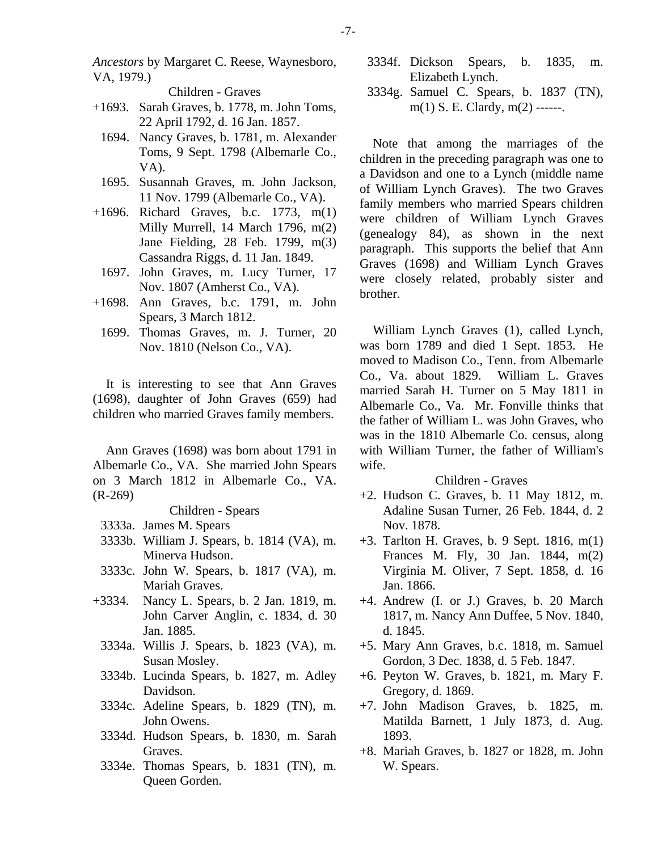*Ancestors* by Margaret C. Reese, Waynesboro, VA, 1979.)

Children - Graves

- +1693. Sarah Graves, b. 1778, m. John Toms, 22 April 1792, d. 16 Jan. 1857.
- 1694. Nancy Graves, b. 1781, m. Alexander Toms, 9 Sept. 1798 (Albemarle Co., VA).
- 1695. Susannah Graves, m. John Jackson, 11 Nov. 1799 (Albemarle Co., VA).
- +1696. Richard Graves, b.c. 1773, m(1) Milly Murrell, 14 March 1796, m(2) Jane Fielding, 28 Feb. 1799, m(3) Cassandra Riggs, d. 11 Jan. 1849.
	- 1697. John Graves, m. Lucy Turner, 17 Nov. 1807 (Amherst Co., VA).
- +1698. Ann Graves, b.c. 1791, m. John Spears, 3 March 1812.
	- 1699. Thomas Graves, m. J. Turner, 20 Nov. 1810 (Nelson Co., VA).

It is interesting to see that Ann Graves (1698), daughter of John Graves (659) had children who married Graves family members.

Ann Graves (1698) was born about 1791 in Albemarle Co., VA. She married John Spears on 3 March 1812 in Albemarle Co., VA. (R-269)

# Children - Spears

- 3333a. James M. Spears
- 3333b. William J. Spears, b. 1814 (VA), m. Minerva Hudson.
- 3333c. John W. Spears, b. 1817 (VA), m. Mariah Graves.
- +3334. Nancy L. Spears, b. 2 Jan. 1819, m. John Carver Anglin, c. 1834, d. 30 Jan. 1885.
	- 3334a. Willis J. Spears, b. 1823 (VA), m. Susan Mosley.
	- 3334b. Lucinda Spears, b. 1827, m. Adley Davidson.
	- 3334c. Adeline Spears, b. 1829 (TN), m. John Owens.
	- 3334d. Hudson Spears, b. 1830, m. Sarah Graves.
	- 3334e. Thomas Spears, b. 1831 (TN), m. Queen Gorden.
- 3334f. Dickson Spears, b. 1835, m. Elizabeth Lynch.
- 3334g. Samuel C. Spears, b. 1837 (TN), m(1) S. E. Clardy, m(2) ------.

Note that among the marriages of the children in the preceding paragraph was one to a Davidson and one to a Lynch (middle name of William Lynch Graves). The two Graves family members who married Spears children were children of William Lynch Graves (genealogy 84), as shown in the next paragraph. This supports the belief that Ann Graves (1698) and William Lynch Graves were closely related, probably sister and brother.

William Lynch Graves (1), called Lynch, was born 1789 and died 1 Sept. 1853. He moved to Madison Co., Tenn. from Albemarle Co., Va. about 1829. William L. Graves married Sarah H. Turner on 5 May 1811 in Albemarle Co., Va. Mr. Fonville thinks that the father of William L. was John Graves, who was in the 1810 Albemarle Co. census, along with William Turner, the father of William's wife.

- +2. Hudson C. Graves, b. 11 May 1812, m. Adaline Susan Turner, 26 Feb. 1844, d. 2 Nov. 1878.
- +3. Tarlton H. Graves, b. 9 Sept. 1816, m(1) Frances M. Fly, 30 Jan. 1844, m(2) Virginia M. Oliver, 7 Sept. 1858, d. 16 Jan. 1866.
- +4. Andrew (I. or J.) Graves, b. 20 March 1817, m. Nancy Ann Duffee, 5 Nov. 1840, d. 1845.
- +5. Mary Ann Graves, b.c. 1818, m. Samuel Gordon, 3 Dec. 1838, d. 5 Feb. 1847.
- +6. Peyton W. Graves, b. 1821, m. Mary F. Gregory, d. 1869.
- +7. John Madison Graves, b. 1825, m. Matilda Barnett, 1 July 1873, d. Aug. 1893.
- +8. Mariah Graves, b. 1827 or 1828, m. John W. Spears.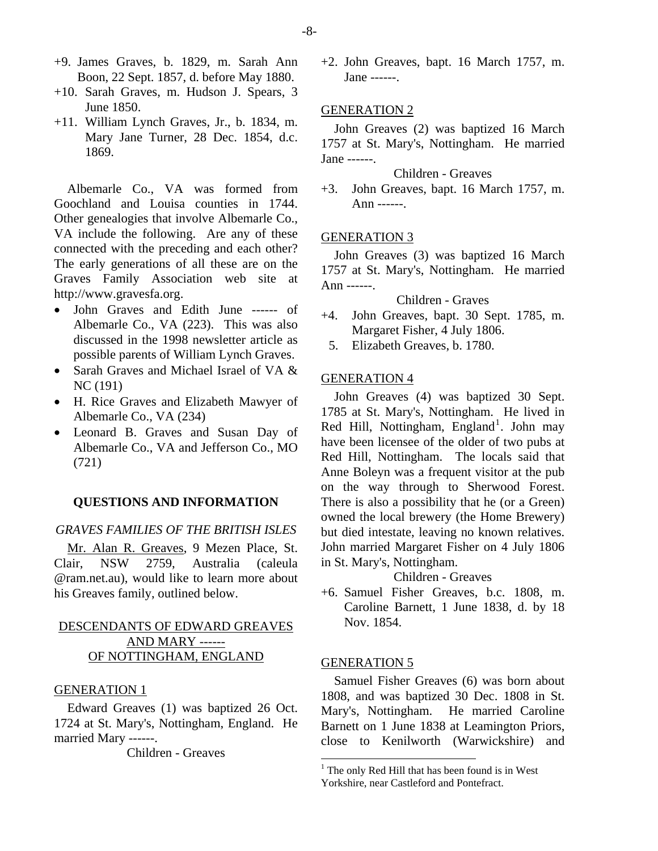- +9. James Graves, b. 1829, m. Sarah Ann Boon, 22 Sept. 1857, d. before May 1880.
- +10. Sarah Graves, m. Hudson J. Spears, 3 June 1850.
- +11. William Lynch Graves, Jr., b. 1834, m. Mary Jane Turner, 28 Dec. 1854, d.c. 1869.

Albemarle Co., VA was formed from Goochland and Louisa counties in 1744. Other genealogies that involve Albemarle Co., VA include the following. Are any of these connected with the preceding and each other? The early generations of all these are on the Graves Family Association web site at http://www.gravesfa.org.

- John Graves and Edith June ------ of Albemarle Co., VA (223). This was also discussed in the 1998 newsletter article as possible parents of William Lynch Graves.
- Sarah Graves and Michael Israel of VA & NC (191)
- H. Rice Graves and Elizabeth Mawyer of Albemarle Co., VA (234)
- Leonard B. Graves and Susan Day of Albemarle Co., VA and Jefferson Co., MO (721)

#### **QUESTIONS AND INFORMATION**

#### *GRAVES FAMILIES OF THE BRITISH ISLES*

Mr. Alan R. Greaves, 9 Mezen Place, St. Clair, NSW 2759, Australia (caleula @ram.net.au), would like to learn more about his Greaves family, outlined below.

# DESCENDANTS OF EDWARD GREAVES AND MARY ------ OF NOTTINGHAM, ENGLAND

#### GENERATION 1

<span id="page-7-0"></span>Edward Greaves (1) was baptized 26 Oct. 1724 at St. Mary's, Nottingham, England. He married Mary ------.

Children - Greaves

+2. John Greaves, bapt. 16 March 1757, m. Jane ------.

#### GENERATION 2

John Greaves (2) was baptized 16 March 1757 at St. Mary's, Nottingham. He married Jane ------.

#### Children - Greaves

+3. John Greaves, bapt. 16 March 1757, m. Ann ------.

## GENERATION 3

John Greaves (3) was baptized 16 March 1757 at St. Mary's, Nottingham. He married Ann ------.

# Children - Graves

- +4. John Greaves, bapt. 30 Sept. 1785, m. Margaret Fisher, 4 July 1806.
	- 5. Elizabeth Greaves, b. 1780.

#### GENERATION 4

John Greaves (4) was baptized 30 Sept. 1785 at St. Mary's, Nottingham. He lived in Red Hill, Nottingham, England<sup>[1](#page-7-0)</sup>. John may have been licensee of the older of two pubs at Red Hill, Nottingham. The locals said that Anne Boleyn was a frequent visitor at the pub on the way through to Sherwood Forest. There is also a possibility that he (or a Green) owned the local brewery (the Home Brewery) but died intestate, leaving no known relatives. John married Margaret Fisher on 4 July 1806 in St. Mary's, Nottingham.

# Children - Greaves

+6. Samuel Fisher Greaves, b.c. 1808, m. Caroline Barnett, 1 June 1838, d. by 18 Nov. 1854.

#### GENERATION 5

Samuel Fisher Greaves (6) was born about 1808, and was baptized 30 Dec. 1808 in St. Mary's, Nottingham. He married Caroline Barnett on 1 June 1838 at Leamington Priors, close to Kenilworth (Warwickshire) and

<sup>&</sup>lt;sup>1</sup> The only Red Hill that has been found is in West Yorkshire, near Castleford and Pontefract.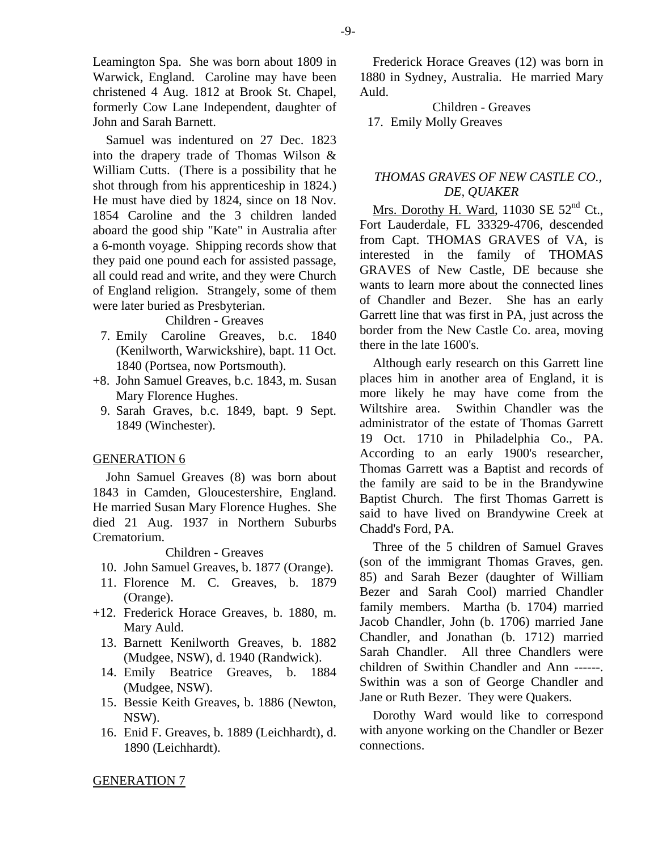Leamington Spa. She was born about 1809 in Warwick, England. Caroline may have been christened 4 Aug. 1812 at Brook St. Chapel, formerly Cow Lane Independent, daughter of John and Sarah Barnett.

Samuel was indentured on 27 Dec. 1823 into the drapery trade of Thomas Wilson & William Cutts. (There is a possibility that he shot through from his apprenticeship in 1824.) He must have died by 1824, since on 18 Nov. 1854 Caroline and the 3 children landed aboard the good ship "Kate" in Australia after a 6-month voyage. Shipping records show that they paid one pound each for assisted passage, all could read and write, and they were Church of England religion. Strangely, some of them were later buried as Presbyterian.

#### Children - Greaves

- 7. Emily Caroline Greaves, b.c. 1840 (Kenilworth, Warwickshire), bapt. 11 Oct. 1840 (Portsea, now Portsmouth).
- +8. John Samuel Greaves, b.c. 1843, m. Susan Mary Florence Hughes.
	- 9. Sarah Graves, b.c. 1849, bapt. 9 Sept. 1849 (Winchester).

#### GENERATION 6

John Samuel Greaves (8) was born about 1843 in Camden, Gloucestershire, England. He married Susan Mary Florence Hughes. She died 21 Aug. 1937 in Northern Suburbs Crematorium.

Children - Greaves

- 10. John Samuel Greaves, b. 1877 (Orange).
- 11. Florence M. C. Greaves, b. 1879 (Orange).
- +12. Frederick Horace Greaves, b. 1880, m. Mary Auld.
	- 13. Barnett Kenilworth Greaves, b. 1882 (Mudgee, NSW), d. 1940 (Randwick).
	- 14. Emily Beatrice Greaves, b. 1884 (Mudgee, NSW).
	- 15. Bessie Keith Greaves, b. 1886 (Newton, NSW).
	- 16. Enid F. Greaves, b. 1889 (Leichhardt), d. 1890 (Leichhardt).

Frederick Horace Greaves (12) was born in 1880 in Sydney, Australia. He married Mary Auld.

Children - Greaves 17. Emily Molly Greaves

## *THOMAS GRAVES OF NEW CASTLE CO., DE, QUAKER*

Mrs. Dorothy H. Ward, 11030 SE  $52<sup>nd</sup>$  Ct., Fort Lauderdale, FL 33329-4706, descended from Capt. THOMAS GRAVES of VA, is interested in the family of THOMAS GRAVES of New Castle, DE because she wants to learn more about the connected lines of Chandler and Bezer. She has an early Garrett line that was first in PA, just across the border from the New Castle Co. area, moving there in the late 1600's.

Although early research on this Garrett line places him in another area of England, it is more likely he may have come from the Wiltshire area. Swithin Chandler was the administrator of the estate of Thomas Garrett 19 Oct. 1710 in Philadelphia Co., PA. According to an early 1900's researcher, Thomas Garrett was a Baptist and records of the family are said to be in the Brandywine Baptist Church. The first Thomas Garrett is said to have lived on Brandywine Creek at Chadd's Ford, PA.

Three of the 5 children of Samuel Graves (son of the immigrant Thomas Graves, gen. 85) and Sarah Bezer (daughter of William Bezer and Sarah Cool) married Chandler family members. Martha (b. 1704) married Jacob Chandler, John (b. 1706) married Jane Chandler, and Jonathan (b. 1712) married Sarah Chandler. All three Chandlers were children of Swithin Chandler and Ann ------. Swithin was a son of George Chandler and Jane or Ruth Bezer. They were Quakers.

Dorothy Ward would like to correspond with anyone working on the Chandler or Bezer connections.

## -9-

GENERATION 7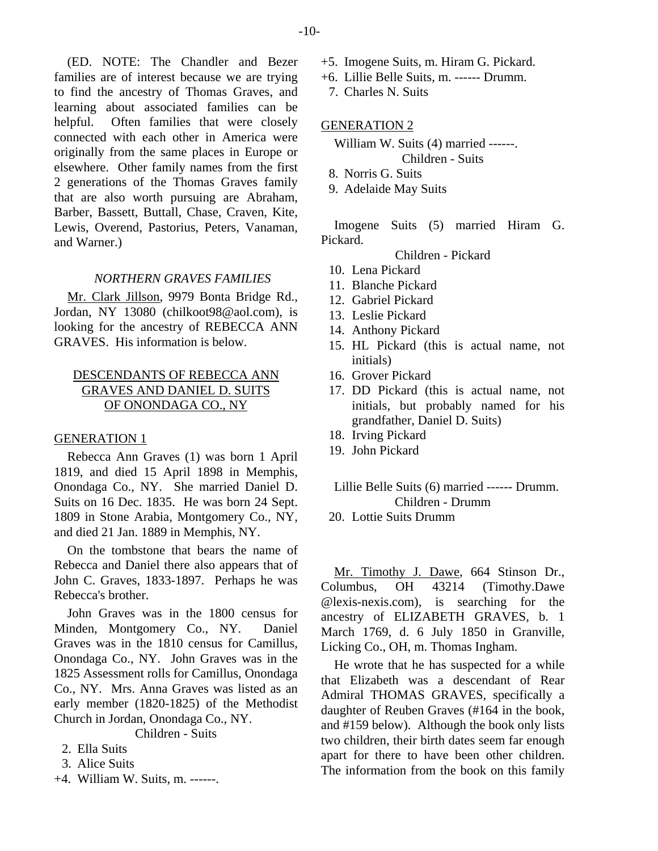(ED. NOTE: The Chandler and Bezer families are of interest because we are trying to find the ancestry of Thomas Graves, and learning about associated families can be helpful. Often families that were closely connected with each other in America were originally from the same places in Europe or elsewhere. Other family names from the first 2 generations of the Thomas Graves family that are also worth pursuing are Abraham, Barber, Bassett, Buttall, Chase, Craven, Kite, Lewis, Overend, Pastorius, Peters, Vanaman, and Warner.)

#### *NORTHERN GRAVES FAMILIES*

Mr. Clark Jillson, 9979 Bonta Bridge Rd., Jordan, NY 13080 (chilkoot98@aol.com), is looking for the ancestry of REBECCA ANN GRAVES. His information is below.

# DESCENDANTS OF REBECCA ANN GRAVES AND DANIEL D. SUITS OF ONONDAGA CO., NY

#### GENERATION 1

Rebecca Ann Graves (1) was born 1 April 1819, and died 15 April 1898 in Memphis, Onondaga Co., NY. She married Daniel D. Suits on 16 Dec. 1835. He was born 24 Sept. 1809 in Stone Arabia, Montgomery Co., NY, and died 21 Jan. 1889 in Memphis, NY.

On the tombstone that bears the name of Rebecca and Daniel there also appears that of John C. Graves, 1833-1897. Perhaps he was Rebecca's brother.

John Graves was in the 1800 census for Minden, Montgomery Co., NY. Daniel Graves was in the 1810 census for Camillus, Onondaga Co., NY. John Graves was in the 1825 Assessment rolls for Camillus, Onondaga Co., NY. Mrs. Anna Graves was listed as an early member (1820-1825) of the Methodist Church in Jordan, Onondaga Co., NY.

Children - Suits

- 2. Ella Suits
- 3. Alice Suits
- +4. William W. Suits, m. ------.
- +5. Imogene Suits, m. Hiram G. Pickard.
- +6. Lillie Belle Suits, m. ------ Drumm.
	- 7. Charles N. Suits

#### GENERATION 2

William W. Suits (4) married ------.

Children - Suits

- 8. Norris G. Suits
- 9. Adelaide May Suits

Imogene Suits (5) married Hiram G. Pickard.

Children - Pickard

- 10. Lena Pickard
- 11. Blanche Pickard
- 12. Gabriel Pickard
- 13. Leslie Pickard
- 14. Anthony Pickard
- 15. HL Pickard (this is actual name, not initials)
- 16. Grover Pickard
- 17. DD Pickard (this is actual name, not initials, but probably named for his grandfather, Daniel D. Suits)
- 18. Irving Pickard
- 19. John Pickard

## Lillie Belle Suits (6) married ------ Drumm. Children - Drumm

20. Lottie Suits Drumm

Mr. Timothy J. Dawe, 664 Stinson Dr., Columbus, OH 43214 (Timothy.Dawe @lexis-nexis.com), is searching for the ancestry of ELIZABETH GRAVES, b. 1 March 1769, d. 6 July 1850 in Granville, Licking Co., OH, m. Thomas Ingham.

He wrote that he has suspected for a while that Elizabeth was a descendant of Rear Admiral THOMAS GRAVES, specifically a daughter of Reuben Graves (#164 in the book, and #159 below). Although the book only lists two children, their birth dates seem far enough apart for there to have been other children. The information from the book on this family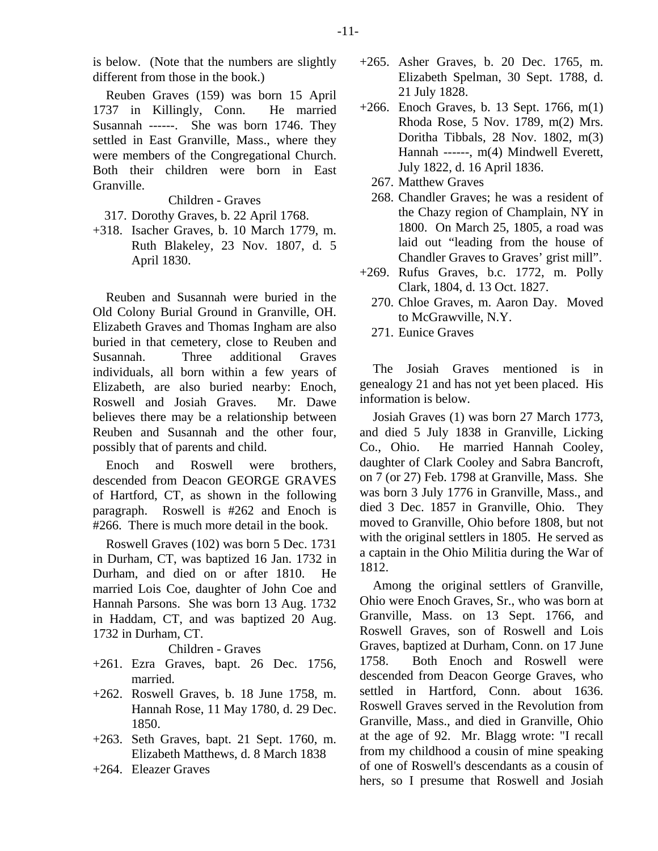Reuben Graves (159) was born 15 April 1737 in Killingly, Conn. He married Susannah ------. She was born 1746. They settled in East Granville, Mass., where they were members of the Congregational Church. Both their children were born in East Granville.

Children - Graves

317. Dorothy Graves, b. 22 April 1768.

+318. Isacher Graves, b. 10 March 1779, m. Ruth Blakeley, 23 Nov. 1807, d. 5 April 1830.

Reuben and Susannah were buried in the Old Colony Burial Ground in Granville, OH. Elizabeth Graves and Thomas Ingham are also buried in that cemetery, close to Reuben and Susannah. Three additional Graves individuals, all born within a few years of Elizabeth, are also buried nearby: Enoch, Roswell and Josiah Graves. Mr. Dawe believes there may be a relationship between Reuben and Susannah and the other four, possibly that of parents and child.

Enoch and Roswell were brothers, descended from Deacon GEORGE GRAVES of Hartford, CT, as shown in the following paragraph. Roswell is #262 and Enoch is #266. There is much more detail in the book.

Roswell Graves (102) was born 5 Dec. 1731 in Durham, CT, was baptized 16 Jan. 1732 in Durham, and died on or after 1810. He married Lois Coe, daughter of John Coe and Hannah Parsons. She was born 13 Aug. 1732 in Haddam, CT, and was baptized 20 Aug. 1732 in Durham, CT.

## Children - Graves

- +261. Ezra Graves, bapt. 26 Dec. 1756, married.
- +262. Roswell Graves, b. 18 June 1758, m. Hannah Rose, 11 May 1780, d. 29 Dec. 1850.
- +263. Seth Graves, bapt. 21 Sept. 1760, m. Elizabeth Matthews, d. 8 March 1838
- +264. Eleazer Graves
- +265. Asher Graves, b. 20 Dec. 1765, m. Elizabeth Spelman, 30 Sept. 1788, d. 21 July 1828.
- +266. Enoch Graves, b. 13 Sept. 1766, m(1) Rhoda Rose, 5 Nov. 1789, m(2) Mrs. Doritha Tibbals, 28 Nov. 1802, m(3) Hannah ------, m(4) Mindwell Everett, July 1822, d. 16 April 1836.
	- 267. Matthew Graves
	- 268. Chandler Graves; he was a resident of the Chazy region of Champlain, NY in 1800. On March 25, 1805, a road was laid out "leading from the house of Chandler Graves to Graves' grist mill".
- +269. Rufus Graves, b.c. 1772, m. Polly Clark, 1804, d. 13 Oct. 1827.
	- 270. Chloe Graves, m. Aaron Day. Moved to McGrawville, N.Y.
	- 271. Eunice Graves

The Josiah Graves mentioned is in genealogy 21 and has not yet been placed. His information is below.

Josiah Graves (1) was born 27 March 1773, and died 5 July 1838 in Granville, Licking Co., Ohio. He married Hannah Cooley, daughter of Clark Cooley and Sabra Bancroft, on 7 (or 27) Feb. 1798 at Granville, Mass. She was born 3 July 1776 in Granville, Mass., and died 3 Dec. 1857 in Granville, Ohio. They moved to Granville, Ohio before 1808, but not with the original settlers in 1805. He served as a captain in the Ohio Militia during the War of 1812.

Among the original settlers of Granville, Ohio were Enoch Graves, Sr., who was born at Granville, Mass. on 13 Sept. 1766, and Roswell Graves, son of Roswell and Lois Graves, baptized at Durham, Conn. on 17 June 1758. Both Enoch and Roswell were descended from Deacon George Graves, who settled in Hartford, Conn. about 1636. Roswell Graves served in the Revolution from Granville, Mass., and died in Granville, Ohio at the age of 92. Mr. Blagg wrote: "I recall from my childhood a cousin of mine speaking of one of Roswell's descendants as a cousin of hers, so I presume that Roswell and Josiah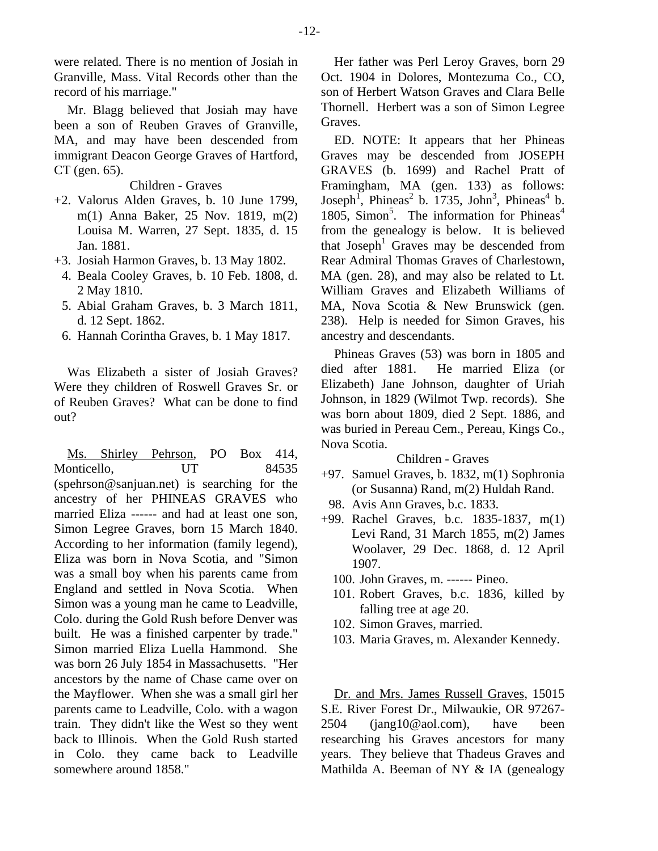were related. There is no mention of Josiah in Granville, Mass. Vital Records other than the record of his marriage."

Mr. Blagg believed that Josiah may have been a son of Reuben Graves of Granville, MA, and may have been descended from immigrant Deacon George Graves of Hartford, CT (gen. 65).

## Children - Graves

- +2. Valorus Alden Graves, b. 10 June 1799, m(1) Anna Baker, 25 Nov. 1819, m(2) Louisa M. Warren, 27 Sept. 1835, d. 15 Jan. 1881.
- +3. Josiah Harmon Graves, b. 13 May 1802.
- 4. Beala Cooley Graves, b. 10 Feb. 1808, d. 2 May 1810.
- 5. Abial Graham Graves, b. 3 March 1811, d. 12 Sept. 1862.
- 6. Hannah Corintha Graves, b. 1 May 1817.

Was Elizabeth a sister of Josiah Graves? Were they children of Roswell Graves Sr. or of Reuben Graves? What can be done to find out?

Ms. Shirley Pehrson, PO Box 414, Monticello, UT 84535 (spehrson@sanjuan.net) is searching for the ancestry of her PHINEAS GRAVES who married Eliza ------ and had at least one son, Simon Legree Graves, born 15 March 1840. According to her information (family legend), Eliza was born in Nova Scotia, and "Simon was a small boy when his parents came from England and settled in Nova Scotia. When Simon was a young man he came to Leadville, Colo. during the Gold Rush before Denver was built. He was a finished carpenter by trade." Simon married Eliza Luella Hammond. She was born 26 July 1854 in Massachusetts. "Her ancestors by the name of Chase came over on the Mayflower. When she was a small girl her parents came to Leadville, Colo. with a wagon train. They didn't like the West so they went back to Illinois. When the Gold Rush started in Colo. they came back to Leadville somewhere around 1858."

Her father was Perl Leroy Graves, born 29 Oct. 1904 in Dolores, Montezuma Co., CO, son of Herbert Watson Graves and Clara Belle Thornell. Herbert was a son of Simon Legree Graves.

ED. NOTE: It appears that her Phineas Graves may be descended from JOSEPH GRAVES (b. 1699) and Rachel Pratt of Framingham, MA (gen. 133) as follows: Joseph<sup>1</sup>, Phineas<sup>2</sup> b. 1735, John<sup>3</sup>, Phineas<sup>4</sup> b. 1805, Simon<sup>5</sup>. The information for Phineas<sup>4</sup> from the genealogy is below. It is believed that Joseph<sup>1</sup> Graves may be descended from Rear Admiral Thomas Graves of Charlestown, MA (gen. 28), and may also be related to Lt. William Graves and Elizabeth Williams of MA, Nova Scotia & New Brunswick (gen. 238). Help is needed for Simon Graves, his ancestry and descendants.

Phineas Graves (53) was born in 1805 and died after 1881. He married Eliza (or Elizabeth) Jane Johnson, daughter of Uriah Johnson, in 1829 (Wilmot Twp. records). She was born about 1809, died 2 Sept. 1886, and was buried in Pereau Cem., Pereau, Kings Co., Nova Scotia.

## Children - Graves

- +97. Samuel Graves, b. 1832, m(1) Sophronia (or Susanna) Rand, m(2) Huldah Rand.
- 98. Avis Ann Graves, b.c. 1833.
- +99. Rachel Graves, b.c. 1835-1837, m(1) Levi Rand, 31 March 1855, m(2) James Woolaver, 29 Dec. 1868, d. 12 April 1907.
	- 100. John Graves, m. ------ Pineo.
	- 101. Robert Graves, b.c. 1836, killed by falling tree at age 20.
	- 102. Simon Graves, married.
	- 103. Maria Graves, m. Alexander Kennedy.

Dr. and Mrs. James Russell Graves, 15015 S.E. River Forest Dr., Milwaukie, OR 97267- 2504 (jang10@aol.com), have been researching his Graves ancestors for many years. They believe that Thadeus Graves and Mathilda A. Beeman of NY & IA (genealogy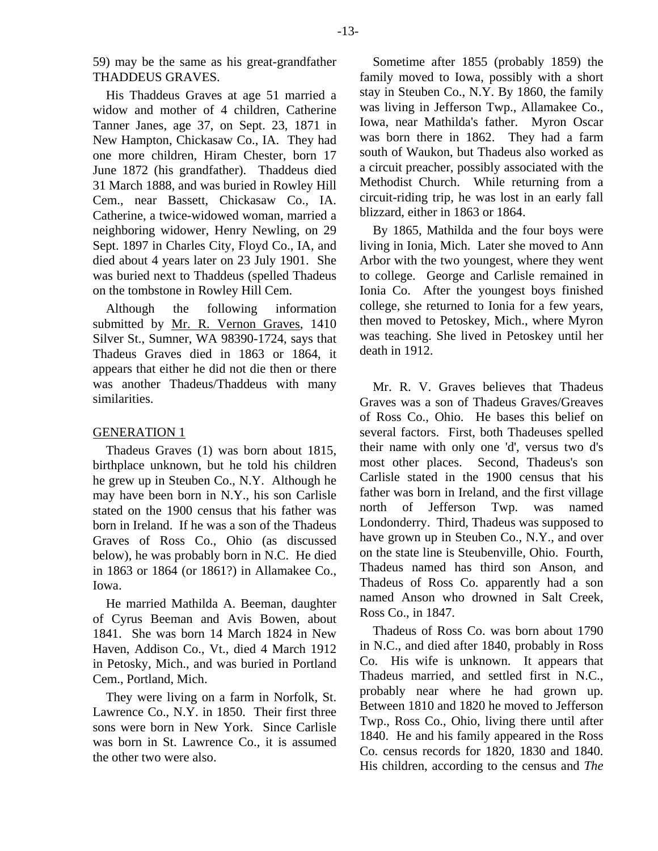59) may be the same as his great-grandfather THADDEUS GRAVES.

His Thaddeus Graves at age 51 married a widow and mother of 4 children, Catherine Tanner Janes, age 37, on Sept. 23, 1871 in New Hampton, Chickasaw Co., IA. They had one more children, Hiram Chester, born 17 June 1872 (his grandfather). Thaddeus died 31 March 1888, and was buried in Rowley Hill Cem., near Bassett, Chickasaw Co., IA. Catherine, a twice-widowed woman, married a neighboring widower, Henry Newling, on 29 Sept. 1897 in Charles City, Floyd Co., IA, and died about 4 years later on 23 July 1901. She was buried next to Thaddeus (spelled Thadeus on the tombstone in Rowley Hill Cem.

Although the following information submitted by Mr. R. Vernon Graves, 1410 Silver St., Sumner, WA 98390-1724, says that Thadeus Graves died in 1863 or 1864, it appears that either he did not die then or there was another Thadeus/Thaddeus with many similarities.

## GENERATION 1

Thadeus Graves (1) was born about 1815, birthplace unknown, but he told his children he grew up in Steuben Co., N.Y. Although he may have been born in N.Y., his son Carlisle stated on the 1900 census that his father was born in Ireland. If he was a son of the Thadeus Graves of Ross Co., Ohio (as discussed below), he was probably born in N.C. He died in 1863 or 1864 (or 1861?) in Allamakee Co., Iowa.

He married Mathilda A. Beeman, daughter of Cyrus Beeman and Avis Bowen, about 1841. She was born 14 March 1824 in New Haven, Addison Co., Vt., died 4 March 1912 in Petosky, Mich., and was buried in Portland Cem., Portland, Mich.

They were living on a farm in Norfolk, St. Lawrence Co., N.Y. in 1850. Their first three sons were born in New York. Since Carlisle was born in St. Lawrence Co., it is assumed the other two were also.

Sometime after 1855 (probably 1859) the family moved to Iowa, possibly with a short stay in Steuben Co., N.Y. By 1860, the family was living in Jefferson Twp., Allamakee Co., Iowa, near Mathilda's father. Myron Oscar was born there in 1862. They had a farm south of Waukon, but Thadeus also worked as a circuit preacher, possibly associated with the Methodist Church. While returning from a circuit-riding trip, he was lost in an early fall blizzard, either in 1863 or 1864.

By 1865, Mathilda and the four boys were living in Ionia, Mich. Later she moved to Ann Arbor with the two youngest, where they went to college. George and Carlisle remained in Ionia Co. After the youngest boys finished college, she returned to Ionia for a few years, then moved to Petoskey, Mich., where Myron was teaching. She lived in Petoskey until her death in 1912.

Mr. R. V. Graves believes that Thadeus Graves was a son of Thadeus Graves/Greaves of Ross Co., Ohio. He bases this belief on several factors. First, both Thadeuses spelled their name with only one 'd', versus two d's most other places. Second, Thadeus's son Carlisle stated in the 1900 census that his father was born in Ireland, and the first village north of Jefferson Twp. was named Londonderry. Third, Thadeus was supposed to have grown up in Steuben Co., N.Y., and over on the state line is Steubenville, Ohio. Fourth, Thadeus named has third son Anson, and Thadeus of Ross Co. apparently had a son named Anson who drowned in Salt Creek, Ross Co., in 1847.

Thadeus of Ross Co. was born about 1790 in N.C., and died after 1840, probably in Ross Co. His wife is unknown. It appears that Thadeus married, and settled first in N.C., probably near where he had grown up. Between 1810 and 1820 he moved to Jefferson Twp., Ross Co., Ohio, living there until after 1840. He and his family appeared in the Ross Co. census records for 1820, 1830 and 1840. His children, according to the census and *The*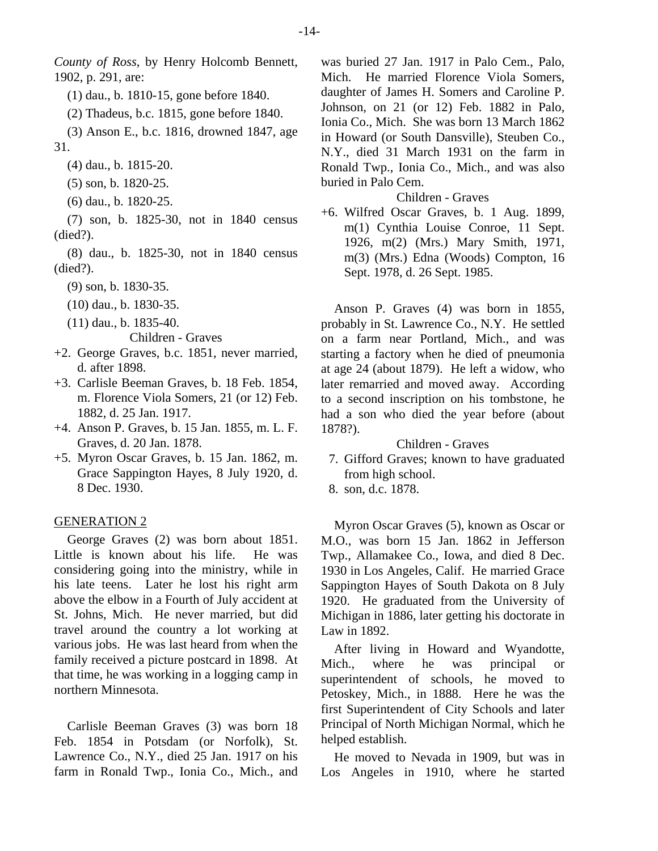*County of Ross*, by Henry Holcomb Bennett, 1902, p. 291, are:

- (1) dau., b. 1810-15, gone before 1840.
- (2) Thadeus, b.c. 1815, gone before 1840.

(3) Anson E., b.c. 1816, drowned 1847, age 31.

- (4) dau., b. 1815-20.
- (5) son, b. 1820-25.
- (6) dau., b. 1820-25.

(7) son, b. 1825-30, not in 1840 census (died?).

(8) dau., b. 1825-30, not in 1840 census (died?).

- (9) son, b. 1830-35.
- (10) dau., b. 1830-35.
- (11) dau., b. 1835-40.

Children - Graves

- +2. George Graves, b.c. 1851, never married, d. after 1898.
- +3. Carlisle Beeman Graves, b. 18 Feb. 1854, m. Florence Viola Somers, 21 (or 12) Feb. 1882, d. 25 Jan. 1917.
- +4. Anson P. Graves, b. 15 Jan. 1855, m. L. F. Graves, d. 20 Jan. 1878.
- +5. Myron Oscar Graves, b. 15 Jan. 1862, m. Grace Sappington Hayes, 8 July 1920, d. 8 Dec. 1930.

#### GENERATION 2

George Graves (2) was born about 1851. Little is known about his life. He was considering going into the ministry, while in his late teens. Later he lost his right arm above the elbow in a Fourth of July accident at St. Johns, Mich. He never married, but did travel around the country a lot working at various jobs. He was last heard from when the family received a picture postcard in 1898. At that time, he was working in a logging camp in northern Minnesota.

Carlisle Beeman Graves (3) was born 18 Feb. 1854 in Potsdam (or Norfolk), St. Lawrence Co., N.Y., died 25 Jan. 1917 on his farm in Ronald Twp., Ionia Co., Mich., and

was buried 27 Jan. 1917 in Palo Cem., Palo, Mich. He married Florence Viola Somers, daughter of James H. Somers and Caroline P. Johnson, on 21 (or 12) Feb. 1882 in Palo, Ionia Co., Mich. She was born 13 March 1862 in Howard (or South Dansville), Steuben Co., N.Y., died 31 March 1931 on the farm in Ronald Twp., Ionia Co., Mich., and was also buried in Palo Cem.

## Children - Graves

+6. Wilfred Oscar Graves, b. 1 Aug. 1899, m(1) Cynthia Louise Conroe, 11 Sept. 1926, m(2) (Mrs.) Mary Smith, 1971, m(3) (Mrs.) Edna (Woods) Compton, 16 Sept. 1978, d. 26 Sept. 1985.

Anson P. Graves (4) was born in 1855, probably in St. Lawrence Co., N.Y. He settled on a farm near Portland, Mich., and was starting a factory when he died of pneumonia at age 24 (about 1879). He left a widow, who later remarried and moved away. According to a second inscription on his tombstone, he had a son who died the year before (about 1878?).

## Children - Graves

- 7. Gifford Graves; known to have graduated from high school.
- 8. son, d.c. 1878.

Myron Oscar Graves (5), known as Oscar or M.O., was born 15 Jan. 1862 in Jefferson Twp., Allamakee Co., Iowa, and died 8 Dec. 1930 in Los Angeles, Calif. He married Grace Sappington Hayes of South Dakota on 8 July 1920. He graduated from the University of Michigan in 1886, later getting his doctorate in Law in 1892.

After living in Howard and Wyandotte, Mich., where he was principal or superintendent of schools, he moved to Petoskey, Mich., in 1888. Here he was the first Superintendent of City Schools and later Principal of North Michigan Normal, which he helped establish.

He moved to Nevada in 1909, but was in Los Angeles in 1910, where he started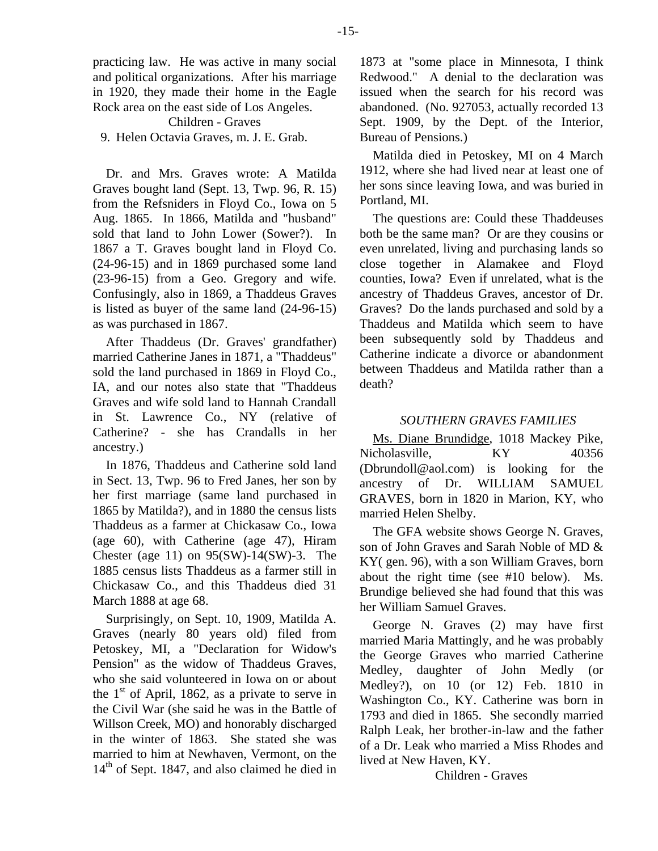practicing law. He was active in many social and political organizations. After his marriage in 1920, they made their home in the Eagle Rock area on the east side of Los Angeles.

## Children - Graves

9. Helen Octavia Graves, m. J. E. Grab.

Dr. and Mrs. Graves wrote: A Matilda Graves bought land (Sept. 13, Twp. 96, R. 15) from the Refsniders in Floyd Co., Iowa on 5 Aug. 1865. In 1866, Matilda and "husband" sold that land to John Lower (Sower?). In 1867 a T. Graves bought land in Floyd Co. (24-96-15) and in 1869 purchased some land (23-96-15) from a Geo. Gregory and wife. Confusingly, also in 1869, a Thaddeus Graves is listed as buyer of the same land (24-96-15) as was purchased in 1867.

After Thaddeus (Dr. Graves' grandfather) married Catherine Janes in 1871, a "Thaddeus" sold the land purchased in 1869 in Floyd Co., IA, and our notes also state that "Thaddeus Graves and wife sold land to Hannah Crandall in St. Lawrence Co., NY (relative of Catherine? - she has Crandalls in her ancestry.)

In 1876, Thaddeus and Catherine sold land in Sect. 13, Twp. 96 to Fred Janes, her son by her first marriage (same land purchased in 1865 by Matilda?), and in 1880 the census lists Thaddeus as a farmer at Chickasaw Co., Iowa (age 60), with Catherine (age 47), Hiram Chester (age 11) on  $95(SW)$ -14(SW)-3. The 1885 census lists Thaddeus as a farmer still in Chickasaw Co., and this Thaddeus died 31 March 1888 at age 68.

Surprisingly, on Sept. 10, 1909, Matilda A. Graves (nearly 80 years old) filed from Petoskey, MI, a "Declaration for Widow's Pension" as the widow of Thaddeus Graves, who she said volunteered in Iowa on or about the  $1<sup>st</sup>$  of April, 1862, as a private to serve in the Civil War (she said he was in the Battle of Willson Creek, MO) and honorably discharged in the winter of 1863. She stated she was married to him at Newhaven, Vermont, on the 14<sup>th</sup> of Sept. 1847, and also claimed he died in

1873 at "some place in Minnesota, I think Redwood." A denial to the declaration was issued when the search for his record was abandoned. (No. 927053, actually recorded 13 Sept. 1909, by the Dept. of the Interior, Bureau of Pensions.)

Matilda died in Petoskey, MI on 4 March 1912, where she had lived near at least one of her sons since leaving Iowa, and was buried in Portland, MI.

The questions are: Could these Thaddeuses both be the same man? Or are they cousins or even unrelated, living and purchasing lands so close together in Alamakee and Floyd counties, Iowa? Even if unrelated, what is the ancestry of Thaddeus Graves, ancestor of Dr. Graves? Do the lands purchased and sold by a Thaddeus and Matilda which seem to have been subsequently sold by Thaddeus and Catherine indicate a divorce or abandonment between Thaddeus and Matilda rather than a death?

#### *SOUTHERN GRAVES FAMILIES*

Ms. Diane Brundidge, 1018 Mackey Pike, Nicholasville, KY 40356 (Dbrundoll@aol.com) is looking for the ancestry of Dr. WILLIAM SAMUEL GRAVES, born in 1820 in Marion, KY, who married Helen Shelby.

The GFA website shows George N. Graves, son of John Graves and Sarah Noble of MD & KY( gen. 96), with a son William Graves, born about the right time (see #10 below). Ms. Brundige believed she had found that this was her William Samuel Graves.

George N. Graves (2) may have first married Maria Mattingly, and he was probably the George Graves who married Catherine Medley, daughter of John Medly (or Medley?), on 10 (or 12) Feb. 1810 in Washington Co., KY. Catherine was born in 1793 and died in 1865. She secondly married Ralph Leak, her brother-in-law and the father of a Dr. Leak who married a Miss Rhodes and lived at New Haven, KY.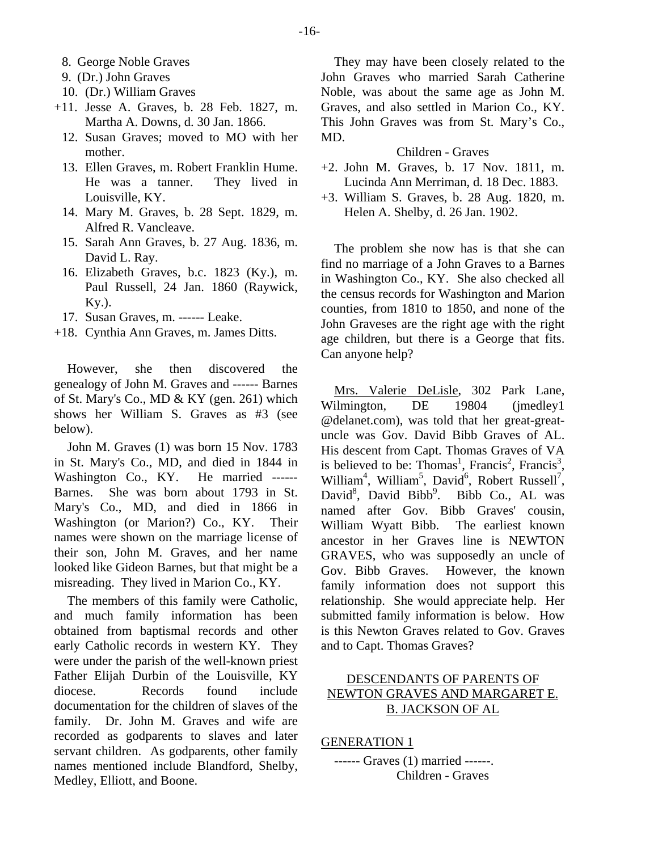- 8. George Noble Graves
- 9. (Dr.) John Graves
- 10. (Dr.) William Graves
- +11. Jesse A. Graves, b. 28 Feb. 1827, m. Martha A. Downs, d. 30 Jan. 1866.
	- 12. Susan Graves; moved to MO with her mother.
	- 13. Ellen Graves, m. Robert Franklin Hume. He was a tanner. They lived in Louisville, KY.
	- 14. Mary M. Graves, b. 28 Sept. 1829, m. Alfred R. Vancleave.
	- 15. Sarah Ann Graves, b. 27 Aug. 1836, m. David L. Ray.
	- 16. Elizabeth Graves, b.c. 1823 (Ky.), m. Paul Russell, 24 Jan. 1860 (Raywick, Ky.).
- 17. Susan Graves, m. ------ Leake.
- +18. Cynthia Ann Graves, m. James Ditts.

However, she then discovered the genealogy of John M. Graves and ------ Barnes of St. Mary's Co., MD & KY (gen. 261) which shows her William S. Graves as #3 (see below).

John M. Graves (1) was born 15 Nov. 1783 in St. Mary's Co., MD, and died in 1844 in Washington Co., KY. He married ------ Barnes. She was born about 1793 in St. Mary's Co., MD, and died in 1866 in Washington (or Marion?) Co., KY. Their names were shown on the marriage license of their son, John M. Graves, and her name looked like Gideon Barnes, but that might be a misreading. They lived in Marion Co., KY.

The members of this family were Catholic, and much family information has been obtained from baptismal records and other early Catholic records in western KY. They were under the parish of the well-known priest Father Elijah Durbin of the Louisville, KY diocese. Records found include documentation for the children of slaves of the family. Dr. John M. Graves and wife are recorded as godparents to slaves and later servant children. As godparents, other family names mentioned include Blandford, Shelby, Medley, Elliott, and Boone.

They may have been closely related to the John Graves who married Sarah Catherine Noble, was about the same age as John M. Graves, and also settled in Marion Co., KY. This John Graves was from St. Mary's Co., MD.

#### Children - Graves

- +2. John M. Graves, b. 17 Nov. 1811, m. Lucinda Ann Merriman, d. 18 Dec. 1883.
- +3. William S. Graves, b. 28 Aug. 1820, m. Helen A. Shelby, d. 26 Jan. 1902.

The problem she now has is that she can find no marriage of a John Graves to a Barnes in Washington Co., KY. She also checked all the census records for Washington and Marion counties, from 1810 to 1850, and none of the John Graveses are the right age with the right age children, but there is a George that fits. Can anyone help?

Mrs. Valerie DeLisle, 302 Park Lane, Wilmington, DE 19804 (jmedley1) @delanet.com), was told that her great-greatuncle was Gov. David Bibb Graves of AL. His descent from Capt. Thomas Graves of VA is believed to be: Thomas<sup>1</sup>, Francis<sup>2</sup>, Francis<sup>3</sup>, William<sup>4</sup>, William<sup>5</sup>, David<sup>6</sup>, Robert Russell<sup>7</sup>, David<sup>8</sup>, David Bibb<sup>9</sup>. Bibb Co., AL was named after Gov. Bibb Graves' cousin, William Wyatt Bibb. The earliest known ancestor in her Graves line is NEWTON GRAVES, who was supposedly an uncle of Gov. Bibb Graves. However, the known family information does not support this relationship. She would appreciate help. Her submitted family information is below. How is this Newton Graves related to Gov. Graves and to Capt. Thomas Graves?

# DESCENDANTS OF PARENTS OF NEWTON GRAVES AND MARGARET E. B. JACKSON OF AL

GENERATION 1

------ Graves (1) married ------. Children - Graves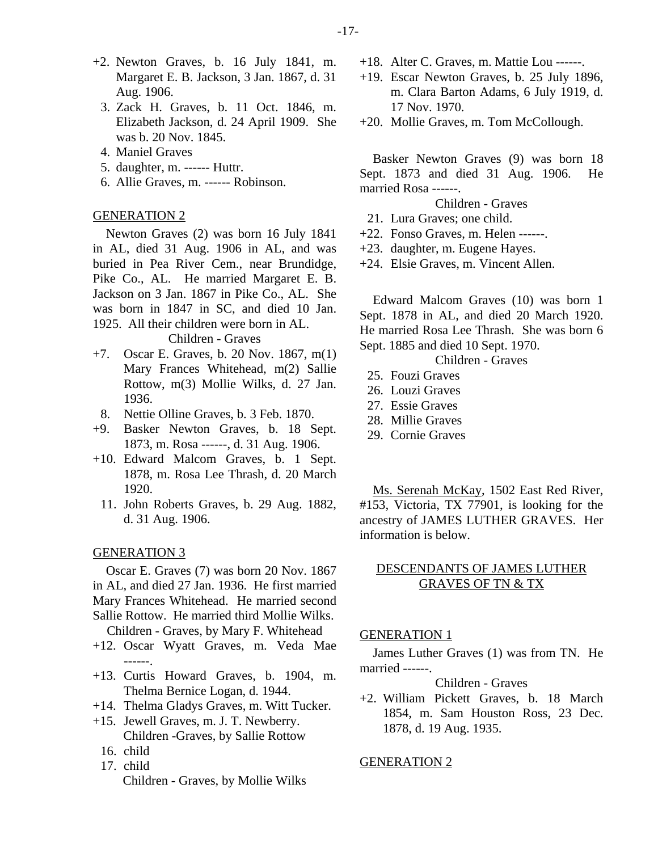- +2. Newton Graves, b. 16 July 1841, m. Margaret E. B. Jackson, 3 Jan. 1867, d. 31 Aug. 1906.
	- 3. Zack H. Graves, b. 11 Oct. 1846, m. Elizabeth Jackson, d. 24 April 1909. She was b. 20 Nov. 1845.
	- 4. Maniel Graves
	- 5. daughter, m. ------ Huttr.
	- 6. Allie Graves, m. ------ Robinson.

#### GENERATION 2

Newton Graves (2) was born 16 July 1841 in AL, died 31 Aug. 1906 in AL, and was buried in Pea River Cem., near Brundidge, Pike Co., AL. He married Margaret E. B. Jackson on 3 Jan. 1867 in Pike Co., AL. She was born in 1847 in SC, and died 10 Jan. 1925. All their children were born in AL.

Children - Graves

- +7. Oscar E. Graves, b. 20 Nov. 1867, m(1) Mary Frances Whitehead, m(2) Sallie Rottow, m(3) Mollie Wilks, d. 27 Jan. 1936.
- 8. Nettie Olline Graves, b. 3 Feb. 1870.
- +9. Basker Newton Graves, b. 18 Sept. 1873, m. Rosa ------, d. 31 Aug. 1906.
- +10. Edward Malcom Graves, b. 1 Sept. 1878, m. Rosa Lee Thrash, d. 20 March 1920.
	- 11. John Roberts Graves, b. 29 Aug. 1882, d. 31 Aug. 1906.

#### GENERATION 3

Oscar E. Graves (7) was born 20 Nov. 1867 in AL, and died 27 Jan. 1936. He first married Mary Frances Whitehead. He married second Sallie Rottow. He married third Mollie Wilks.

Children - Graves, by Mary F. Whitehead

- +12. Oscar Wyatt Graves, m. Veda Mae ------.
- +13. Curtis Howard Graves, b. 1904, m. Thelma Bernice Logan, d. 1944.
- +14. Thelma Gladys Graves, m. Witt Tucker.
- +15. Jewell Graves, m. J. T. Newberry. Children -Graves, by Sallie Rottow
	- 16. child
	- 17. child Children - Graves, by Mollie Wilks
- +18. Alter C. Graves, m. Mattie Lou ------.
- +19. Escar Newton Graves, b. 25 July 1896, m. Clara Barton Adams, 6 July 1919, d. 17 Nov. 1970.
- +20. Mollie Graves, m. Tom McCollough.

Basker Newton Graves (9) was born 18 Sept. 1873 and died 31 Aug. 1906. He married Rosa ------.

Children - Graves

- 21. Lura Graves; one child.
- +22. Fonso Graves, m. Helen ------.
- +23. daughter, m. Eugene Hayes.
- +24. Elsie Graves, m. Vincent Allen.

Edward Malcom Graves (10) was born 1 Sept. 1878 in AL, and died 20 March 1920. He married Rosa Lee Thrash. She was born 6 Sept. 1885 and died 10 Sept. 1970.

## Children - Graves

- 25. Fouzi Graves
- 26. Louzi Graves
- 27. Essie Graves
- 28. Millie Graves
- 29. Cornie Graves

Ms. Serenah McKay, 1502 East Red River, #153, Victoria, TX 77901, is looking for the ancestry of JAMES LUTHER GRAVES. Her information is below.

## DESCENDANTS OF JAMES LUTHER GRAVES OF TN & TX

## GENERATION 1

James Luther Graves (1) was from TN. He married ------.

Children - Graves

+2. William Pickett Graves, b. 18 March 1854, m. Sam Houston Ross, 23 Dec. 1878, d. 19 Aug. 1935.

## GENERATION 2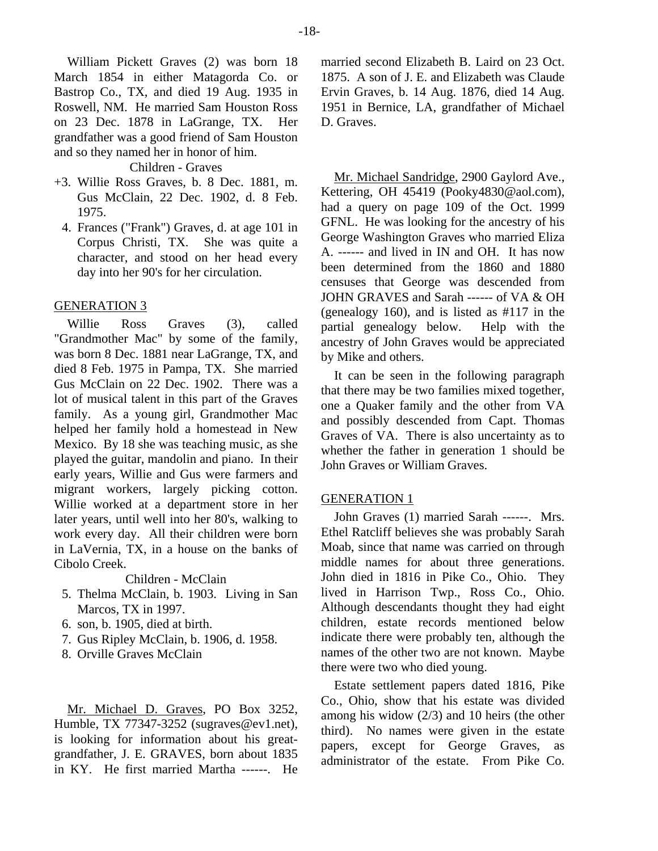William Pickett Graves (2) was born 18 March 1854 in either Matagorda Co. or Bastrop Co., TX, and died 19 Aug. 1935 in Roswell, NM. He married Sam Houston Ross on 23 Dec. 1878 in LaGrange, TX. Her grandfather was a good friend of Sam Houston and so they named her in honor of him.

Children - Graves

- +3. Willie Ross Graves, b. 8 Dec. 1881, m. Gus McClain, 22 Dec. 1902, d. 8 Feb. 1975.
	- 4. Frances ("Frank") Graves, d. at age 101 in Corpus Christi, TX. She was quite a character, and stood on her head every day into her 90's for her circulation.

#### GENERATION 3

Willie Ross Graves (3), called "Grandmother Mac" by some of the family, was born 8 Dec. 1881 near LaGrange, TX, and died 8 Feb. 1975 in Pampa, TX. She married Gus McClain on 22 Dec. 1902. There was a lot of musical talent in this part of the Graves family. As a young girl, Grandmother Mac helped her family hold a homestead in New Mexico. By 18 she was teaching music, as she played the guitar, mandolin and piano. In their early years, Willie and Gus were farmers and migrant workers, largely picking cotton. Willie worked at a department store in her later years, until well into her 80's, walking to work every day. All their children were born in LaVernia, TX, in a house on the banks of Cibolo Creek.

Children - McClain

- 5. Thelma McClain, b. 1903. Living in San Marcos, TX in 1997.
- 6. son, b. 1905, died at birth.
- 7. Gus Ripley McClain, b. 1906, d. 1958.
- 8. Orville Graves McClain

Mr. Michael D. Graves, PO Box 3252, Humble, TX 77347-3252 (sugraves@ev1.net), is looking for information about his greatgrandfather, J. E. GRAVES, born about 1835 in KY. He first married Martha ------. He married second Elizabeth B. Laird on 23 Oct. 1875. A son of J. E. and Elizabeth was Claude Ervin Graves, b. 14 Aug. 1876, died 14 Aug. 1951 in Bernice, LA, grandfather of Michael D. Graves.

Mr. Michael Sandridge, 2900 Gaylord Ave., Kettering, OH 45419 (Pooky4830@aol.com), had a query on page 109 of the Oct. 1999 GFNL. He was looking for the ancestry of his George Washington Graves who married Eliza A. ------ and lived in IN and OH. It has now been determined from the 1860 and 1880 censuses that George was descended from JOHN GRAVES and Sarah ------ of VA & OH (genealogy 160), and is listed as #117 in the partial genealogy below. Help with the ancestry of John Graves would be appreciated by Mike and others.

It can be seen in the following paragraph that there may be two families mixed together, one a Quaker family and the other from VA and possibly descended from Capt. Thomas Graves of VA. There is also uncertainty as to whether the father in generation 1 should be John Graves or William Graves.

## GENERATION 1

John Graves (1) married Sarah ------. Mrs. Ethel Ratcliff believes she was probably Sarah Moab, since that name was carried on through middle names for about three generations. John died in 1816 in Pike Co., Ohio. They lived in Harrison Twp., Ross Co., Ohio. Although descendants thought they had eight children, estate records mentioned below indicate there were probably ten, although the names of the other two are not known. Maybe there were two who died young.

Estate settlement papers dated 1816, Pike Co., Ohio, show that his estate was divided among his widow (2/3) and 10 heirs (the other third). No names were given in the estate papers, except for George Graves, as administrator of the estate. From Pike Co.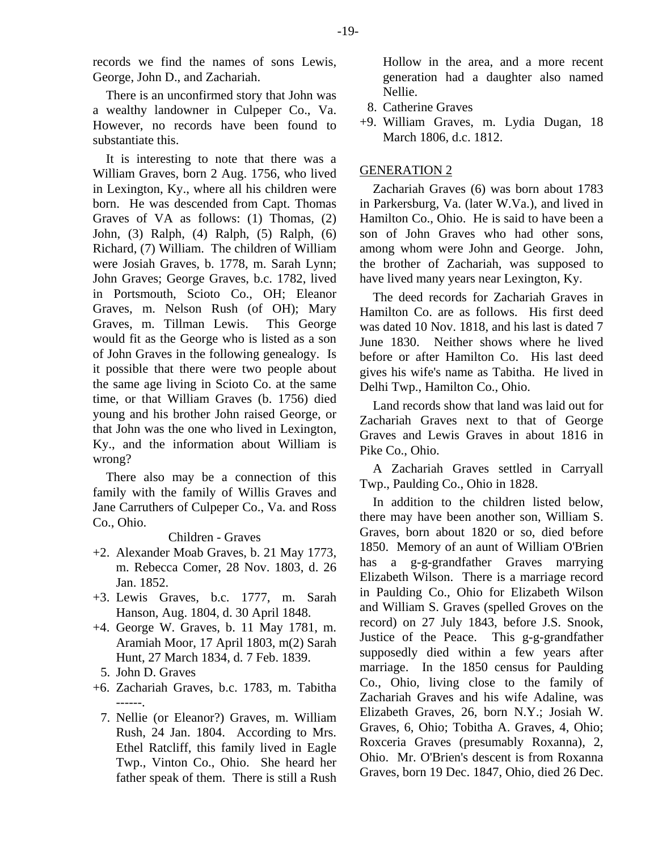records we find the names of sons Lewis, George, John D., and Zachariah.

There is an unconfirmed story that John was a wealthy landowner in Culpeper Co., Va. However, no records have been found to substantiate this.

It is interesting to note that there was a William Graves, born 2 Aug. 1756, who lived in Lexington, Ky., where all his children were born. He was descended from Capt. Thomas Graves of VA as follows: (1) Thomas, (2) John, (3) Ralph, (4) Ralph, (5) Ralph, (6) Richard, (7) William. The children of William were Josiah Graves, b. 1778, m. Sarah Lynn; John Graves; George Graves, b.c. 1782, lived in Portsmouth, Scioto Co., OH; Eleanor Graves, m. Nelson Rush (of OH); Mary Graves, m. Tillman Lewis. This George would fit as the George who is listed as a son of John Graves in the following genealogy. Is it possible that there were two people about the same age living in Scioto Co. at the same time, or that William Graves (b. 1756) died young and his brother John raised George, or that John was the one who lived in Lexington, Ky., and the information about William is wrong?

There also may be a connection of this family with the family of Willis Graves and Jane Carruthers of Culpeper Co., Va. and Ross Co., Ohio.

## Children - Graves

- +2. Alexander Moab Graves, b. 21 May 1773, m. Rebecca Comer, 28 Nov. 1803, d. 26 Jan. 1852.
- +3. Lewis Graves, b.c. 1777, m. Sarah Hanson, Aug. 1804, d. 30 April 1848.
- +4. George W. Graves, b. 11 May 1781, m. Aramiah Moor, 17 April 1803, m(2) Sarah Hunt, 27 March 1834, d. 7 Feb. 1839.
- 5. John D. Graves
- +6. Zachariah Graves, b.c. 1783, m. Tabitha ------.
	- 7. Nellie (or Eleanor?) Graves, m. William Rush, 24 Jan. 1804. According to Mrs. Ethel Ratcliff, this family lived in Eagle Twp., Vinton Co., Ohio. She heard her father speak of them. There is still a Rush

Hollow in the area, and a more recent generation had a daughter also named Nellie.

- 8. Catherine Graves
- +9. William Graves, m. Lydia Dugan, 18 March 1806, d.c. 1812.

# GENERATION 2

Zachariah Graves (6) was born about 1783 in Parkersburg, Va. (later W.Va.), and lived in Hamilton Co., Ohio. He is said to have been a son of John Graves who had other sons, among whom were John and George. John, the brother of Zachariah, was supposed to have lived many years near Lexington, Ky.

The deed records for Zachariah Graves in Hamilton Co. are as follows. His first deed was dated 10 Nov. 1818, and his last is dated 7 June 1830. Neither shows where he lived before or after Hamilton Co. His last deed gives his wife's name as Tabitha. He lived in Delhi Twp., Hamilton Co., Ohio.

Land records show that land was laid out for Zachariah Graves next to that of George Graves and Lewis Graves in about 1816 in Pike Co., Ohio.

A Zachariah Graves settled in Carryall Twp., Paulding Co., Ohio in 1828.

In addition to the children listed below, there may have been another son, William S. Graves, born about 1820 or so, died before 1850. Memory of an aunt of William O'Brien has a g-g-grandfather Graves marrying Elizabeth Wilson. There is a marriage record in Paulding Co., Ohio for Elizabeth Wilson and William S. Graves (spelled Groves on the record) on 27 July 1843, before J.S. Snook, Justice of the Peace. This g-g-grandfather supposedly died within a few years after marriage. In the 1850 census for Paulding Co., Ohio, living close to the family of Zachariah Graves and his wife Adaline, was Elizabeth Graves, 26, born N.Y.; Josiah W. Graves, 6, Ohio; Tobitha A. Graves, 4, Ohio; Roxceria Graves (presumably Roxanna), 2, Ohio. Mr. O'Brien's descent is from Roxanna Graves, born 19 Dec. 1847, Ohio, died 26 Dec.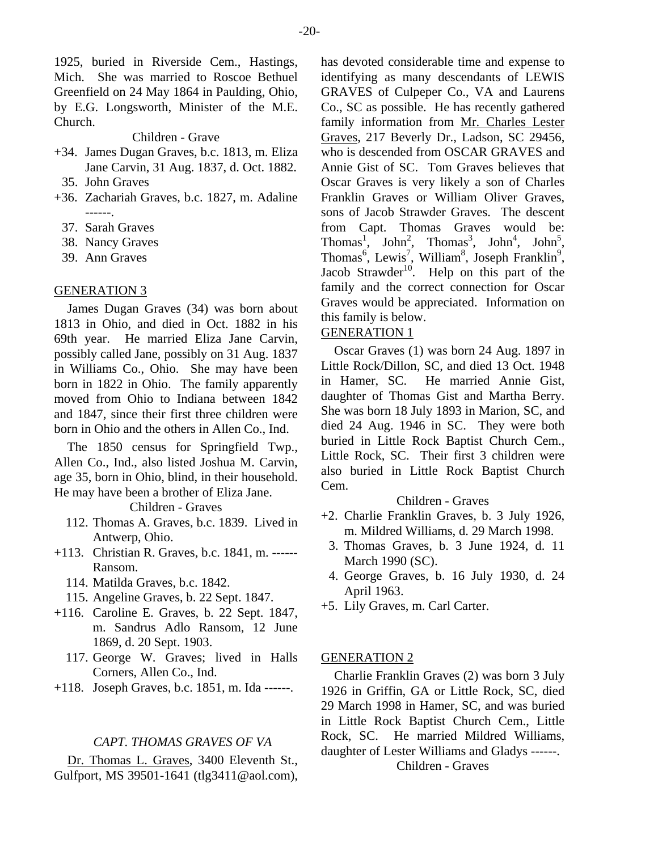1925, buried in Riverside Cem., Hastings, Mich. She was married to Roscoe Bethuel Greenfield on 24 May 1864 in Paulding, Ohio, by E.G. Longsworth, Minister of the M.E. Church.

#### Children - Grave

- +34. James Dugan Graves, b.c. 1813, m. Eliza Jane Carvin, 31 Aug. 1837, d. Oct. 1882.
	- 35. John Graves
- +36. Zachariah Graves, b.c. 1827, m. Adaline ------.
	- 37. Sarah Graves
	- 38. Nancy Graves
	- 39. Ann Graves

#### GENERATION 3

James Dugan Graves (34) was born about 1813 in Ohio, and died in Oct. 1882 in his 69th year. He married Eliza Jane Carvin, possibly called Jane, possibly on 31 Aug. 1837 in Williams Co., Ohio. She may have been born in 1822 in Ohio. The family apparently moved from Ohio to Indiana between 1842 and 1847, since their first three children were born in Ohio and the others in Allen Co., Ind.

The 1850 census for Springfield Twp., Allen Co., Ind., also listed Joshua M. Carvin, age 35, born in Ohio, blind, in their household. He may have been a brother of Eliza Jane.

#### Children - Graves

- 112. Thomas A. Graves, b.c. 1839. Lived in Antwerp, Ohio.
- +113. Christian R. Graves, b.c. 1841, m. ------ Ransom.
	- 114. Matilda Graves, b.c. 1842.
	- 115. Angeline Graves, b. 22 Sept. 1847.
- +116. Caroline E. Graves, b. 22 Sept. 1847, m. Sandrus Adlo Ransom, 12 June 1869, d. 20 Sept. 1903.
	- 117. George W. Graves; lived in Halls Corners, Allen Co., Ind.
- +118. Joseph Graves, b.c. 1851, m. Ida ------.

#### *CAPT. THOMAS GRAVES OF VA*

Dr. Thomas L. Graves, 3400 Eleventh St., Gulfport, MS 39501-1641 (tlg3411@aol.com),

has devoted considerable time and expense to identifying as many descendants of LEWIS GRAVES of Culpeper Co., VA and Laurens Co., SC as possible. He has recently gathered family information from Mr. Charles Lester Graves, 217 Beverly Dr., Ladson, SC 29456, who is descended from OSCAR GRAVES and Annie Gist of SC. Tom Graves believes that Oscar Graves is very likely a son of Charles Franklin Graves or William Oliver Graves, sons of Jacob Strawder Graves. The descent from Capt. Thomas Graves would be: Thomas<sup>1</sup>, John<sup>2</sup>, Thomas<sup>3</sup>, John<sup>4</sup>, John<sup>5</sup>, Thomas<sup>6</sup>, Lewis<sup>7</sup>, William<sup>8</sup>, Joseph Franklin<sup>9</sup>, Jacob Strawder<sup>10</sup>. Help on this part of the family and the correct connection for Oscar Graves would be appreciated. Information on this family is below.

## GENERATION 1

Oscar Graves (1) was born 24 Aug. 1897 in Little Rock/Dillon, SC, and died 13 Oct. 1948 in Hamer, SC. He married Annie Gist, daughter of Thomas Gist and Martha Berry. She was born 18 July 1893 in Marion, SC, and died 24 Aug. 1946 in SC. They were both buried in Little Rock Baptist Church Cem., Little Rock, SC. Their first 3 children were also buried in Little Rock Baptist Church Cem.

#### Children - Graves

- +2. Charlie Franklin Graves, b. 3 July 1926, m. Mildred Williams, d. 29 March 1998.
	- 3. Thomas Graves, b. 3 June 1924, d. 11 March 1990 (SC).
	- 4. George Graves, b. 16 July 1930, d. 24 April 1963.
- +5. Lily Graves, m. Carl Carter.

#### GENERATION 2

Charlie Franklin Graves (2) was born 3 July 1926 in Griffin, GA or Little Rock, SC, died 29 March 1998 in Hamer, SC, and was buried in Little Rock Baptist Church Cem., Little Rock, SC. He married Mildred Williams, daughter of Lester Williams and Gladys ------.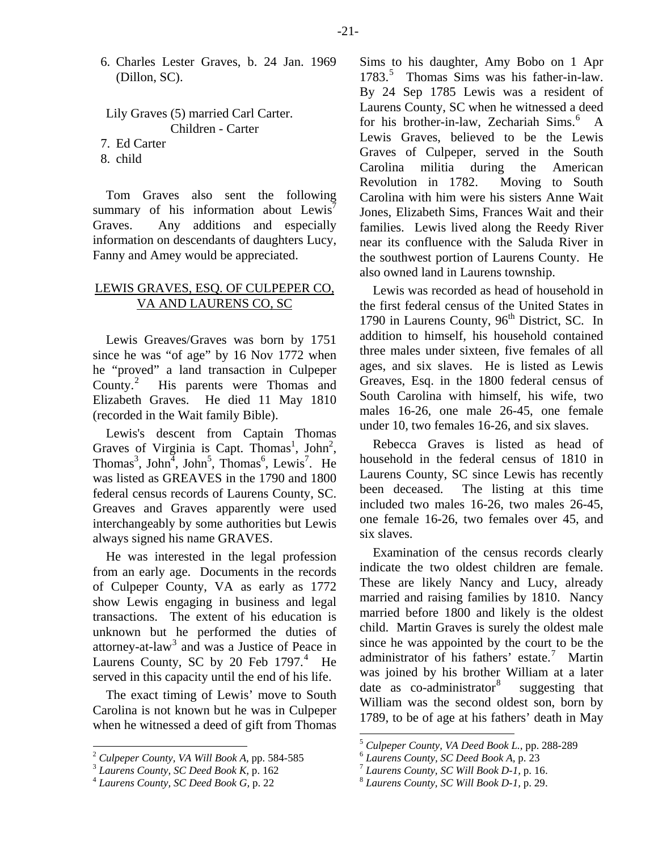6. Charles Lester Graves, b. 24 Jan. 1969 (Dillon, SC).

Lily Graves (5) married Carl Carter. Children - Carter 7. Ed Carter

- 8. child
- 

Tom Graves also sent the following summary of his information about Lewis<sup> $\prime$ </sup> Graves. Any additions and especially information on descendants of daughters Lucy, Fanny and Amey would be appreciated.

# LEWIS GRAVES, ESQ. OF CULPEPER CO, VA AND LAURENS CO, SC

Lewis Greaves/Graves was born by 1751 since he was "of age" by 16 Nov 1772 when he "proved" a land transaction in Culpeper County. $^2$  $^2$  His parents were Thomas and Elizabeth Graves. He died 11 May 1810 (recorded in the Wait family Bible).

Lewis's descent from Captain Thomas Graves of Virginia is Capt. Thomas<sup>1</sup>, John<sup>2</sup>, Thomas<sup>3</sup>, John<sup>5</sup>, John<sup>5</sup>, Thomas<sup>6</sup>, Lewis<sup>7</sup>. He was listed as GREAVES in the 1790 and 1800 federal census records of Laurens County, SC. Greaves and Graves apparently were used interchangeably by some authorities but Lewis always signed his name GRAVES.

He was interested in the legal profession from an early age. Documents in the records of Culpeper County, VA as early as 1772 show Lewis engaging in business and legal transactions. The extent of his education is unknown but he performed the duties of attorney-at-law<sup>[3](#page-20-1)</sup> and was a Justice of Peace in Laurens County, SC by 20 Feb  $1797<sup>4</sup>$  $1797<sup>4</sup>$  $1797<sup>4</sup>$  He served in this capacity until the end of his life.

The exact timing of Lewis' move to South Carolina is not known but he was in Culpeper when he witnessed a deed of gift from Thomas Sims to his daughter, Amy Bobo on 1 Apr 1783.<sup>[5](#page-20-3)</sup> Thomas Sims was his father-in-law. By 24 Sep 1785 Lewis was a resident of Laurens County, SC when he witnessed a deed for his brother-in-law, Zechariah Sims.<sup>[6](#page-20-0)</sup> A Lewis Graves, believed to be the Lewis Graves of Culpeper, served in the South Carolina militia during the American Revolution in 1782. Moving to South Carolina with him were his sisters Anne Wait Jones, Elizabeth Sims, Frances Wait and their families. Lewis lived along the Reedy River near its confluence with the Saluda River in the southwest portion of Laurens County. He also owned land in Laurens township.

Lewis was recorded as head of household in the first federal census of the United States in 1790 in Laurens County, 96<sup>th</sup> District, SC. In addition to himself, his household contained three males under sixteen, five females of all ages, and six slaves. He is listed as Lewis Greaves, Esq. in the 1800 federal census of South Carolina with himself, his wife, two males 16-26, one male 26-45, one female under 10, two females 16-26, and six slaves.

Rebecca Graves is listed as head of household in the federal census of 1810 in Laurens County, SC since Lewis has recently been deceased. The listing at this time included two males 16-26, two males 26-45, one female 16-26, two females over 45, and six slaves.

Examination of the census records clearly indicate the two oldest children are female. These are likely Nancy and Lucy, already married and raising families by 1810. Nancy married before 1800 and likely is the oldest child. Martin Graves is surely the oldest male since he was appointed by the court to be the administrator of his fathers' estate.<sup>[7](#page-20-1)</sup> Martin was joined by his brother William at a later date as  $co-administrator<sup>8</sup>$  $co-administrator<sup>8</sup>$  $co-administrator<sup>8</sup>$  suggesting that William was the second oldest son, born by 1789, to be of age at his fathers' death in May

<span id="page-20-3"></span><span id="page-20-0"></span><sup>&</sup>lt;sup>2</sup> *Culpeper County, VA Will Book A, pp.* 584-585<br><sup>3</sup> *Laurens County, SC Deed Book K, p.* 162<br><sup>4</sup> *Laurens County, SC Deed Book G, p.* 22

<span id="page-20-2"></span><span id="page-20-1"></span>

<sup>&</sup>lt;sup>5</sup> *Culpeper County, VA Deed Book L., pp. 288-289*<br><sup>6</sup> *Laurens County, SC Deed Book A, p. 23*<br><sup>7</sup> *Laurens County, SC Will Book D-1, p. 16.* 8 *Laurens County, SC Will Book D-1, p. 29.*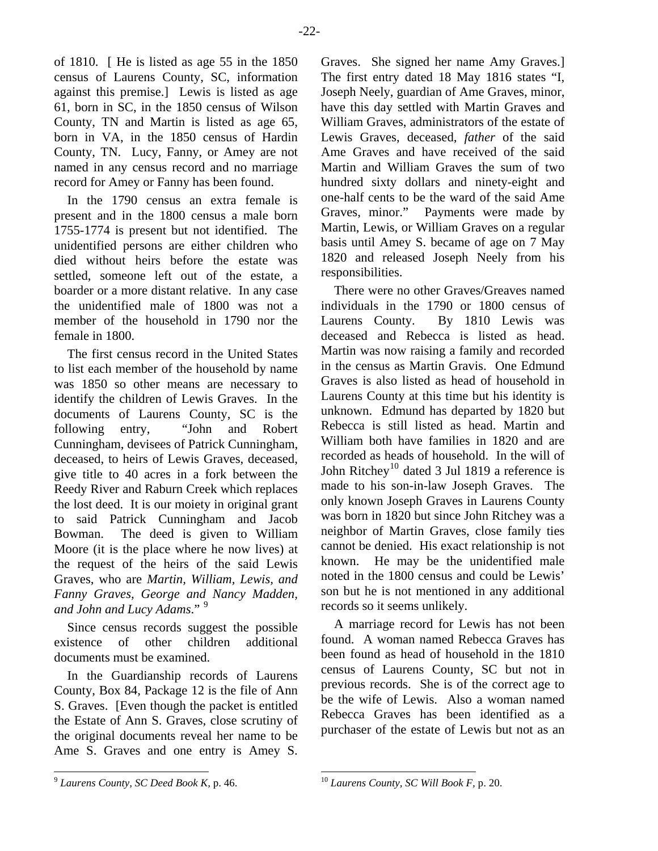of 1810. [ He is listed as age 55 in the 1850 census of Laurens County, SC, information against this premise.] Lewis is listed as age 61, born in SC, in the 1850 census of Wilson County, TN and Martin is listed as age 65, born in VA, in the 1850 census of Hardin County, TN. Lucy, Fanny, or Amey are not named in any census record and no marriage record for Amey or Fanny has been found.

In the 1790 census an extra female is present and in the 1800 census a male born 1755-1774 is present but not identified. The unidentified persons are either children who died without heirs before the estate was settled, someone left out of the estate, a boarder or a more distant relative. In any case the unidentified male of 1800 was not a member of the household in 1790 nor the female in 1800.

The first census record in the United States to list each member of the household by name was 1850 so other means are necessary to identify the children of Lewis Graves. In the documents of Laurens County, SC is the following entry, "John and Robert Cunningham, devisees of Patrick Cunningham, deceased, to heirs of Lewis Graves, deceased, give title to 40 acres in a fork between the Reedy River and Raburn Creek which replaces the lost deed. It is our moiety in original grant to said Patrick Cunningham and Jacob Bowman. The deed is given to William Moore (it is the place where he now lives) at the request of the heirs of the said Lewis Graves, who are *Martin, William, Lewis, and Fanny Graves, George and Nancy Madden, and John and Lucy Adams*." [9](#page-21-0)

Since census records suggest the possible existence of other children additional documents must be examined.

In the Guardianship records of Laurens County, Box 84, Package 12 is the file of Ann S. Graves. [Even though the packet is entitled the Estate of Ann S. Graves, close scrutiny of the original documents reveal her name to be Ame S. Graves and one entry is Amey S.

Graves. She signed her name Amy Graves.] The first entry dated 18 May 1816 states "I, Joseph Neely, guardian of Ame Graves, minor, have this day settled with Martin Graves and William Graves, administrators of the estate of Lewis Graves, deceased, *father* of the said Ame Graves and have received of the said Martin and William Graves the sum of two hundred sixty dollars and ninety-eight and one-half cents to be the ward of the said Ame Graves, minor." Payments were made by Martin, Lewis, or William Graves on a regular basis until Amey S. became of age on 7 May 1820 and released Joseph Neely from his responsibilities.

There were no other Graves/Greaves named individuals in the 1790 or 1800 census of Laurens County. By 1810 Lewis was deceased and Rebecca is listed as head. Martin was now raising a family and recorded in the census as Martin Gravis. One Edmund Graves is also listed as head of household in Laurens County at this time but his identity is unknown. Edmund has departed by 1820 but Rebecca is still listed as head. Martin and William both have families in 1820 and are recorded as heads of household. In the will of John Ritchey<sup>[10](#page-21-0)</sup> dated 3 Jul 1819 a reference is made to his son-in-law Joseph Graves. The only known Joseph Graves in Laurens County was born in 1820 but since John Ritchey was a neighbor of Martin Graves, close family ties cannot be denied. His exact relationship is not known. He may be the unidentified male noted in the 1800 census and could be Lewis' son but he is not mentioned in any additional records so it seems unlikely.

A marriage record for Lewis has not been found. A woman named Rebecca Graves has been found as head of household in the 1810 census of Laurens County, SC but not in previous records. She is of the correct age to be the wife of Lewis. Also a woman named Rebecca Graves has been identified as a purchaser of the estate of Lewis but not as an

<span id="page-21-0"></span><sup>9</sup> *Laurens County, SC Deed Book K,* p. 46.

<sup>10</sup> *Laurens County, SC Will Book F,* p. 20.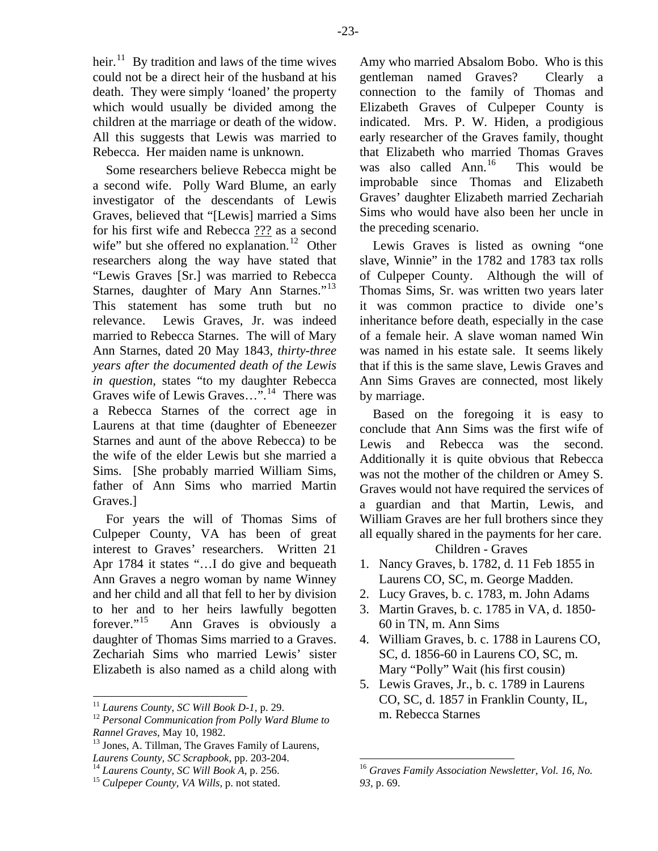heir. $11$  By tradition and laws of the time wives could not be a direct heir of the husband at his death. They were simply 'loaned' the property which would usually be divided among the children at the marriage or death of the widow. All this suggests that Lewis was married to Rebecca. Her maiden name is unknown.

Some researchers believe Rebecca might be a second wife. Polly Ward Blume, an early investigator of the descendants of Lewis Graves, believed that "[Lewis] married a Sims for his first wife and Rebecca ??? as a second wife" but she offered no explanation.<sup>[12](#page-22-1)</sup> Other researchers along the way have stated that "Lewis Graves [Sr.] was married to Rebecca Starnes, daughter of Mary Ann Starnes."<sup>[13](#page-22-2)</sup> This statement has some truth but no relevance. Lewis Graves, Jr. was indeed married to Rebecca Starnes. The will of Mary Ann Starnes, dated 20 May 1843, *thirty-three years after the documented death of the Lewis in question,* states "to my daughter Rebecca Graves wife of Lewis Graves…".[14](#page-22-3) There was a Rebecca Starnes of the correct age in Laurens at that time (daughter of Ebeneezer Starnes and aunt of the above Rebecca) to be the wife of the elder Lewis but she married a Sims. [She probably married William Sims, father of Ann Sims who married Martin Graves.]

For years the will of Thomas Sims of Culpeper County, VA has been of great interest to Graves' researchers. Written 21 Apr 1784 it states "…I do give and bequeath Ann Graves a negro woman by name Winney and her child and all that fell to her by division to her and to her heirs lawfully begotten forever."<sup>[15](#page-22-4)</sup> Ann Graves is obviously a daughter of Thomas Sims married to a Graves. Zechariah Sims who married Lewis' sister Elizabeth is also named as a child along with

-23-

Amy who married Absalom Bobo. Who is this gentleman named Graves? Clearly a connection to the family of Thomas and Elizabeth Graves of Culpeper County is indicated. Mrs. P. W. Hiden, a prodigious early researcher of the Graves family, thought that Elizabeth who married Thomas Graves was also called  $Ann<sup>16</sup>$  $Ann<sup>16</sup>$  $Ann<sup>16</sup>$  This would be improbable since Thomas and Elizabeth Graves' daughter Elizabeth married Zechariah Sims who would have also been her uncle in the preceding scenario.

Lewis Graves is listed as owning "one slave, Winnie" in the 1782 and 1783 tax rolls of Culpeper County. Although the will of Thomas Sims, Sr. was written two years later it was common practice to divide one's inheritance before death, especially in the case of a female heir. A slave woman named Win was named in his estate sale. It seems likely that if this is the same slave, Lewis Graves and Ann Sims Graves are connected, most likely by marriage.

Based on the foregoing it is easy to conclude that Ann Sims was the first wife of Lewis and Rebecca was the second. Additionally it is quite obvious that Rebecca was not the mother of the children or Amey S. Graves would not have required the services of a guardian and that Martin, Lewis, and William Graves are her full brothers since they all equally shared in the payments for her care.

- 1. Nancy Graves, b. 1782, d. 11 Feb 1855 in Laurens CO, SC, m. George Madden.
- 2. Lucy Graves, b. c. 1783, m. John Adams
- 3. Martin Graves, b. c. 1785 in VA, d. 1850- 60 in TN, m. Ann Sims
- 4. William Graves, b. c. 1788 in Laurens CO, SC, d. 1856-60 in Laurens CO, SC, m. Mary "Polly" Wait (his first cousin)
- 5. Lewis Graves, Jr., b. c. 1789 in Laurens CO, SC, d. 1857 in Franklin County, IL, m. Rebecca Starnes

<span id="page-22-1"></span><span id="page-22-0"></span><sup>&</sup>lt;sup>11</sup> *Laurens County, SC Will Book D-1, p. 29.* <sup>12</sup> *Personal Communication from Polly Ward Blume to* 

<span id="page-22-2"></span>*Rannel Graves, May 10, 1982.* <sup>13</sup> Jones, A. Tillman, The Graves Family of Laurens, *Laurens County, SC Scrapbook,* pp. 203-204. 14 *Laurens County, SC Will Book A,* p. 256. 15 *Culpeper County, VA Wills,* p. not stated.

<span id="page-22-3"></span>

<span id="page-22-4"></span>

<sup>16</sup> *Graves Family Association Newsletter, Vol. 16, No. 93,* p. 69.